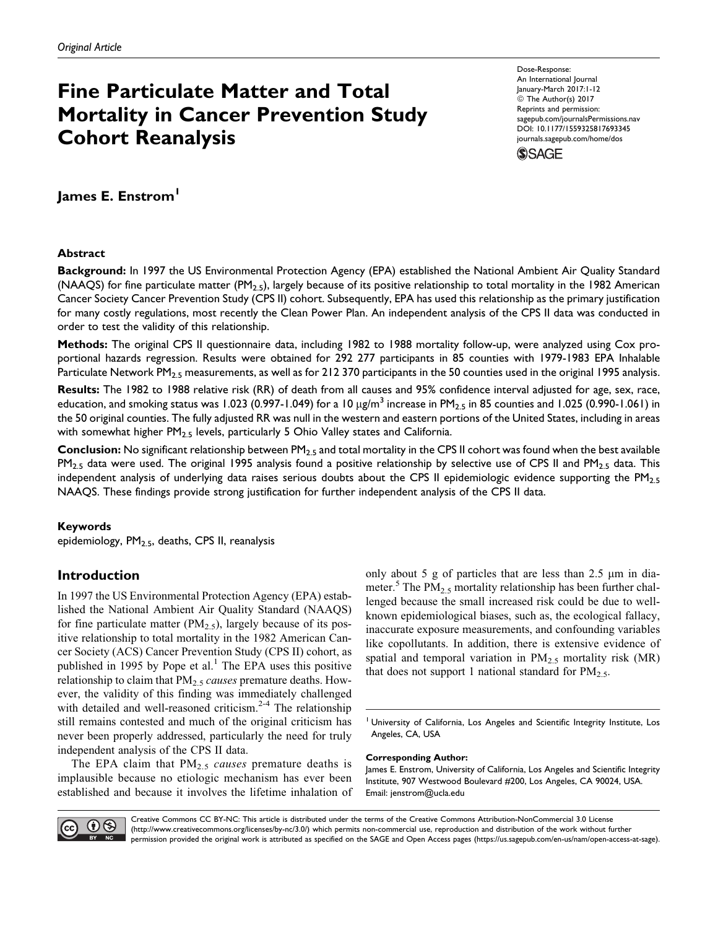# Fine Particulate Matter and Total Mortality in Cancer Prevention Study Cohort Reanalysis

Dose-Response: An International Journal January-March 2017:1-12 © The Author(s) 2017 Reprints and permission: [sagepub.com/journalsPermissions.nav](https://us.sagepub.com/en-us/journals-permissions) [DOI: 10.1177/1559325817693345](https://doi.org/10.1177/1559325817693345) [journals.sagepub.com/home/dos](http://journals.sagepub.com/home/dos)



James E. Enstrom<sup>1</sup>

## Abstract

Background: In 1997 the US Environmental Protection Agency (EPA) established the National Ambient Air Quality Standard (NAAQS) for fine particulate matter (PM<sub>2.5</sub>), largely because of its positive relationship to total mortality in the 1982 American Cancer Society Cancer Prevention Study (CPS II) cohort. Subsequently, EPA has used this relationship as the primary justification for many costly regulations, most recently the Clean Power Plan. An independent analysis of the CPS II data was conducted in order to test the validity of this relationship.

Methods: The original CPS II questionnaire data, including 1982 to 1988 mortality follow-up, were analyzed using Cox proportional hazards regression. Results were obtained for 292 277 participants in 85 counties with 1979-1983 EPA Inhalable Particulate Network PM<sub>2.5</sub> measurements, as well as for 212 370 participants in the 50 counties used in the original 1995 analysis.

Results: The 1982 to 1988 relative risk (RR) of death from all causes and 95% confidence interval adjusted for age, sex, race, education, and smoking status was 1.023 (0.997-1.049) for a 10  $\mu$ g/m<sup>3</sup> increase in PM<sub>2.5</sub> in 85 counties and 1.025 (0.990-1.061) in the 50 original counties. The fully adjusted RR was null in the western and eastern portions of the United States, including in areas with somewhat higher PM<sub>2.5</sub> levels, particularly 5 Ohio Valley states and California.

Conclusion: No significant relationship between PM<sub>2.5</sub> and total mortality in the CPS II cohort was found when the best available PM<sub>2.5</sub> data were used. The original 1995 analysis found a positive relationship by selective use of CPS II and PM<sub>2.5</sub> data. This independent analysis of underlying data raises serious doubts about the CPS II epidemiologic evidence supporting the PM<sub>2.5</sub> NAAQS. These findings provide strong justification for further independent analysis of the CPS II data.

#### Keywords

epidemiology,  $PM<sub>2.5</sub>$ , deaths, CPS II, reanalysis

## Introduction

In 1997 the US Environmental Protection Agency (EPA) established the National Ambient Air Quality Standard (NAAQS) for fine particulate matter  $(PM_{2.5})$ , largely because of its positive relationship to total mortality in the 1982 American Cancer Society (ACS) Cancer Prevention Study (CPS II) cohort, as published in 1995 by Pope et al.<sup>1</sup> The EPA uses this positive relationship to claim that  $PM_{2.5}$  causes premature deaths. However, the validity of this finding was immediately challenged with detailed and well-reasoned criticism. $2-4$  The relationship still remains contested and much of the original criticism has never been properly addressed, particularly the need for truly independent analysis of the CPS II data.

The EPA claim that  $PM<sub>2.5</sub> causes premature deaths is$ implausible because no etiologic mechanism has ever been established and because it involves the lifetime inhalation of

only about 5 g of particles that are less than  $2.5 \mu m$  in diameter.<sup>5</sup> The PM<sub>2.5</sub> mortality relationship has been further challenged because the small increased risk could be due to wellknown epidemiological biases, such as, the ecological fallacy, inaccurate exposure measurements, and confounding variables like copollutants. In addition, there is extensive evidence of spatial and temporal variation in  $PM_{2.5}$  mortality risk (MR) that does not support 1 national standard for  $PM_{2.5}$ .

#### Corresponding Author:

James E. Enstrom, University of California, Los Angeles and Scientific Integrity Institute, 907 Westwood Boulevard #200, Los Angeles, CA 90024, USA. Email: [jenstrom@ucla.edu](mailto:jenstrom@ucla.edu)



Creative Commons CC BY-NC: This article is distributed under the terms of the Creative Commons Attribution-NonCommercial 3.0 License (http://www.creativecommons.org/licenses/by-nc/3.0/) which permits non-commercial use, reproduction and distribution of the work without further permission provided the original work is attributed as specified on the SAGE and Open Access pages (https://us.sagepub.com/en-us/nam/open-access-at-sage).

University of California, Los Angeles and Scientific Integrity Institute, Los Angeles, CA, USA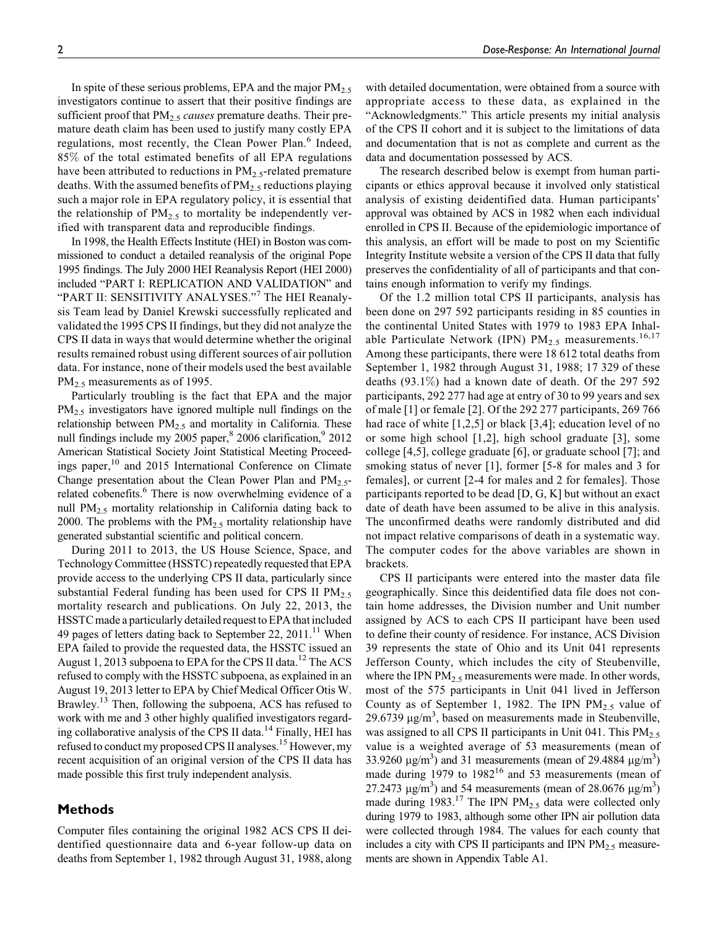In spite of these serious problems, EPA and the major  $PM_{2.5}$ investigators continue to assert that their positive findings are sufficient proof that  $PM<sub>2.5</sub> causes premature deaths. Their pre$ mature death claim has been used to justify many costly EPA regulations, most recently, the Clean Power Plan.<sup>6</sup> Indeed, 85% of the total estimated benefits of all EPA regulations have been attributed to reductions in  $PM_{2.5}$ -related premature deaths. With the assumed benefits of  $PM_{2.5}$  reductions playing such a major role in EPA regulatory policy, it is essential that the relationship of  $PM_{2.5}$  to mortality be independently verified with transparent data and reproducible findings.

In 1998, the Health Effects Institute (HEI) in Boston was commissioned to conduct a detailed reanalysis of the original Pope 1995 findings. The July 2000 HEI Reanalysis Report (HEI 2000) included "PART I: REPLICATION AND VALIDATION" and "PART II: SENSITIVITY ANALYSES."<sup>7</sup> The HEI Reanalysis Team lead by Daniel Krewski successfully replicated and validated the 1995 CPS II findings, but they did not analyze the CPS II data in ways that would determine whether the original results remained robust using different sources of air pollution data. For instance, none of their models used the best available PM<sub>2.5</sub> measurements as of 1995.

Particularly troubling is the fact that EPA and the major  $PM_{2.5}$  investigators have ignored multiple null findings on the relationship between  $PM_{2.5}$  and mortality in California. These null findings include my 2005 paper, $8\text{ }2006\text{ clarification}, 9\text{ }2012$ American Statistical Society Joint Statistical Meeting Proceedings paper,<sup>10</sup> and 2015 International Conference on Climate Change presentation about the Clean Power Plan and  $PM<sub>2.5</sub>$ related cobenefits.<sup>6</sup> There is now overwhelming evidence of a null  $PM_{2.5}$  mortality relationship in California dating back to 2000. The problems with the  $PM_{2.5}$  mortality relationship have generated substantial scientific and political concern.

During 2011 to 2013, the US House Science, Space, and Technology Committee (HSSTC) repeatedly requested that EPA provide access to the underlying CPS II data, particularly since substantial Federal funding has been used for CPS II  $PM_{2.5}$ mortality research and publications. On July 22, 2013, the HSSTC made a particularly detailed request to EPA that included 49 pages of letters dating back to September 22,  $2011$ .<sup>11</sup> When EPA failed to provide the requested data, the HSSTC issued an August 1, 2013 subpoena to EPA for the CPS II data.<sup>12</sup> The ACS refused to comply with the HSSTC subpoena, as explained in an August 19, 2013 letter to EPA by Chief Medical Officer Otis W. Brawley.<sup>13</sup> Then, following the subpoena, ACS has refused to work with me and 3 other highly qualified investigators regarding collaborative analysis of the CPS II data.<sup>14</sup> Finally, HEI has refused to conduct my proposed CPS II analyses.<sup>15</sup> However, my recent acquisition of an original version of the CPS II data has made possible this first truly independent analysis.

## Methods

Computer files containing the original 1982 ACS CPS II deidentified questionnaire data and 6-year follow-up data on deaths from September 1, 1982 through August 31, 1988, along with detailed documentation, were obtained from a source with appropriate access to these data, as explained in the "Acknowledgments." This article presents my initial analysis of the CPS II cohort and it is subject to the limitations of data and documentation that is not as complete and current as the data and documentation possessed by ACS.

The research described below is exempt from human participants or ethics approval because it involved only statistical analysis of existing deidentified data. Human participants' approval was obtained by ACS in 1982 when each individual enrolled in CPS II. Because of the epidemiologic importance of this analysis, an effort will be made to post on my Scientific Integrity Institute website a version of the CPS II data that fully preserves the confidentiality of all of participants and that contains enough information to verify my findings.

Of the 1.2 million total CPS II participants, analysis has been done on 297 592 participants residing in 85 counties in the continental United States with 1979 to 1983 EPA Inhalable Particulate Network (IPN)  $PM_{2.5}$  measurements.<sup>16,17</sup> Among these participants, there were 18 612 total deaths from September 1, 1982 through August 31, 1988; 17 329 of these deaths (93.1%) had a known date of death. Of the 297 592 participants, 292 277 had age at entry of 30 to 99 years and sex of male [1] or female [2]. Of the 292 277 participants, 269 766 had race of white [1,2,5] or black [3,4]; education level of no or some high school [1,2], high school graduate [3], some college [4,5], college graduate [6], or graduate school [7]; and smoking status of never [1], former [5-8 for males and 3 for females], or current [2-4 for males and 2 for females]. Those participants reported to be dead [D, G, K] but without an exact date of death have been assumed to be alive in this analysis. The unconfirmed deaths were randomly distributed and did not impact relative comparisons of death in a systematic way. The computer codes for the above variables are shown in brackets.

CPS II participants were entered into the master data file geographically. Since this deidentified data file does not contain home addresses, the Division number and Unit number assigned by ACS to each CPS II participant have been used to define their county of residence. For instance, ACS Division 39 represents the state of Ohio and its Unit 041 represents Jefferson County, which includes the city of Steubenville, where the IPN  $PM_{2.5}$  measurements were made. In other words, most of the 575 participants in Unit 041 lived in Jefferson County as of September 1, 1982. The IPN  $PM_{2.5}$  value of 29.6739  $\mu$ g/m<sup>3</sup>, based on measurements made in Steubenville, was assigned to all CPS II participants in Unit 041. This  $PM_{2.5}$ value is a weighted average of 53 measurements (mean of 33.9260  $\mu$ g/m<sup>3</sup>) and 31 measurements (mean of 29.4884  $\mu$ g/m<sup>3</sup>) made during  $1979$  to  $1982^{16}$  and 53 measurements (mean of 27.2473  $\mu$ g/m<sup>3</sup>) and 54 measurements (mean of 28.0676  $\mu$ g/m<sup>3</sup>) made during 1983.<sup>17</sup> The IPN PM<sub>2.5</sub> data were collected only during 1979 to 1983, although some other IPN air pollution data were collected through 1984. The values for each county that includes a city with CPS II participants and IPN  $PM_{2.5}$  measurements are shown in Appendix Table A1.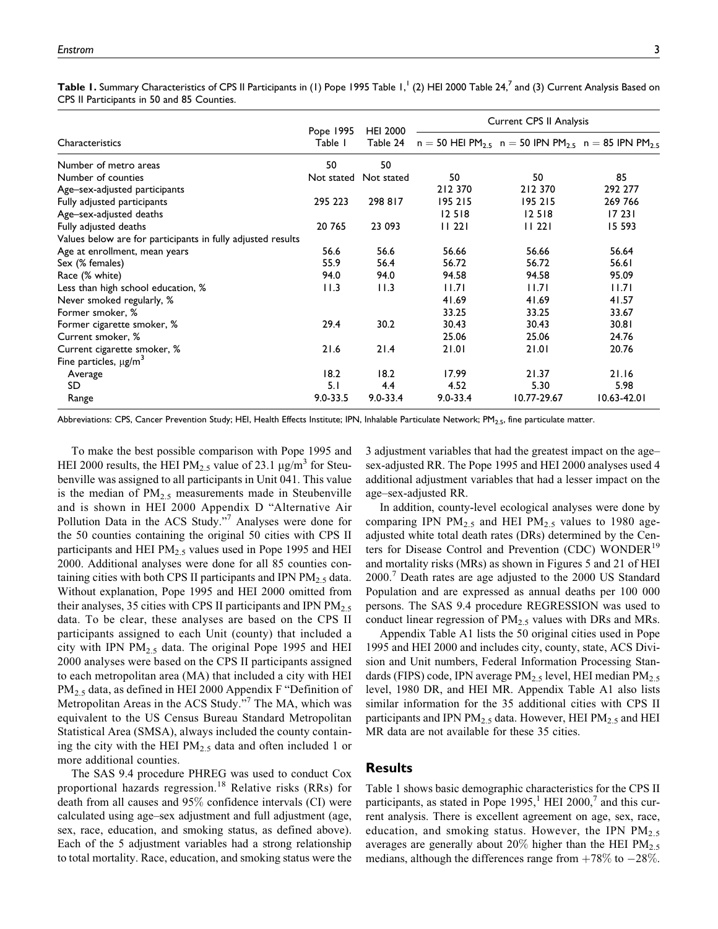**Table 1.** Summary Characteristics of CPS II Participants in (1) Pope 1995 Table 1,<sup>1</sup> (2) HEI 2000 Table 24,<sup>7</sup> and (3) Current Analysis Based on CPS II Participants in 50 and 85 Counties.

|                                                             | Pope 1995<br>Table I | <b>HEI 2000</b> | Current CPS II Analysis |                                                                                              |                 |  |
|-------------------------------------------------------------|----------------------|-----------------|-------------------------|----------------------------------------------------------------------------------------------|-----------------|--|
| Characteristics                                             |                      | Table 24        |                         | $n = 50$ HEI PM <sub>2.5</sub> $n = 50$ IPN PM <sub>2.5</sub> $n = 85$ IPN PM <sub>2.5</sub> |                 |  |
| Number of metro areas                                       | 50                   | 50              |                         |                                                                                              |                 |  |
| Number of counties                                          | Not stated           | Not stated      | 50                      | 50                                                                                           | 85              |  |
| Age-sex-adjusted participants                               |                      |                 | 212 370                 | 212 370                                                                                      | 292 277         |  |
| Fully adjusted participants                                 | 295 223              | 298 817         | 195 215                 | 195 215                                                                                      | 269 766         |  |
| Age-sex-adjusted deaths                                     |                      |                 | 12518                   | 12 5 18                                                                                      | 17231           |  |
| Fully adjusted deaths                                       | 20 765               | 23 093          | 11221                   | 11221                                                                                        | 15 5 93         |  |
| Values below are for participants in fully adjusted results |                      |                 |                         |                                                                                              |                 |  |
| Age at enrollment, mean years                               | 56.6                 | 56.6            | 56.66                   | 56.66                                                                                        | 56.64           |  |
| Sex (% females)                                             | 55.9                 | 56.4            | 56.72                   | 56.72                                                                                        | 56.61           |  |
| Race (% white)                                              | 94.0                 | 94.0            | 94.58                   | 94.58                                                                                        | 95.09           |  |
| Less than high school education, %                          | 11.3                 | 11.3            | 11.71                   | 11.71                                                                                        | 11.71           |  |
| Never smoked regularly, %                                   |                      |                 | 41.69                   | 41.69                                                                                        | 41.57           |  |
| Former smoker, %                                            |                      |                 | 33.25                   | 33.25                                                                                        | 33.67           |  |
| Former cigarette smoker, %                                  | 29.4                 | 30.2            | 30.43                   | 30.43                                                                                        | 30.81           |  |
| Current smoker, %                                           |                      |                 | 25.06                   | 25.06                                                                                        | 24.76           |  |
| Current cigarette smoker, %                                 | 21.6                 | 21.4            | 21.01                   | 21.01                                                                                        | 20.76           |  |
| Fine particles, $\mu$ g/m <sup>3</sup>                      |                      |                 |                         |                                                                                              |                 |  |
| Average                                                     | 18.2                 | 18.2            | 17.99                   | 21.37                                                                                        | 21.16           |  |
| SD.                                                         | 5.1                  | 4.4             | 4.52                    | 5.30                                                                                         | 5.98            |  |
| Range                                                       | $9.0 - 33.5$         | $9.0 - 33.4$    | $9.0 - 33.4$            | 10.77-29.67                                                                                  | $10.63 - 42.01$ |  |

Abbreviations: CPS, Cancer Prevention Study; HEI, Health Effects Institute; IPN, Inhalable Particulate Network; PM<sub>2.5</sub>, fine particulate matter.

To make the best possible comparison with Pope 1995 and HEI 2000 results, the HEI PM<sub>2.5</sub> value of 23.1  $\mu$ g/m<sup>3</sup> for Steubenville was assigned to all participants in Unit 041. This value is the median of  $PM_{2.5}$  measurements made in Steubenville and is shown in HEI 2000 Appendix D "Alternative Air Pollution Data in the ACS Study."7 Analyses were done for the 50 counties containing the original 50 cities with CPS II participants and HEI  $PM_{2.5}$  values used in Pope 1995 and HEI 2000. Additional analyses were done for all 85 counties containing cities with both CPS II participants and IPN  $PM_{2.5}$  data. Without explanation, Pope 1995 and HEI 2000 omitted from their analyses, 35 cities with CPS II participants and IPN  $PM_{2.5}$ data. To be clear, these analyses are based on the CPS II participants assigned to each Unit (county) that included a city with IPN  $PM_{2.5}$  data. The original Pope 1995 and HEI 2000 analyses were based on the CPS II participants assigned to each metropolitan area (MA) that included a city with HEI PM2.5 data, as defined in HEI 2000 Appendix F "Definition of Metropolitan Areas in the ACS Study."<sup>7</sup> The MA, which was equivalent to the US Census Bureau Standard Metropolitan Statistical Area (SMSA), always included the county containing the city with the HEI  $PM_{2.5}$  data and often included 1 or more additional counties.

The SAS 9.4 procedure PHREG was used to conduct Cox proportional hazards regression.<sup>18</sup> Relative risks (RRs) for death from all causes and 95% confidence intervals (CI) were calculated using age–sex adjustment and full adjustment (age, sex, race, education, and smoking status, as defined above). Each of the 5 adjustment variables had a strong relationship to total mortality. Race, education, and smoking status were the 3 adjustment variables that had the greatest impact on the age– sex-adjusted RR. The Pope 1995 and HEI 2000 analyses used 4 additional adjustment variables that had a lesser impact on the age–sex-adjusted RR.

In addition, county-level ecological analyses were done by comparing IPN  $PM_{2.5}$  and HEI  $PM_{2.5}$  values to 1980 ageadjusted white total death rates (DRs) determined by the Centers for Disease Control and Prevention (CDC) WONDER<sup>19</sup> and mortality risks (MRs) as shown in Figures 5 and 21 of HEI  $2000$ .<sup>7</sup> Death rates are age adjusted to the  $2000$  US Standard Population and are expressed as annual deaths per 100 000 persons. The SAS 9.4 procedure REGRESSION was used to conduct linear regression of  $PM<sub>2.5</sub>$  values with DRs and MRs.

Appendix Table A1 lists the 50 original cities used in Pope 1995 and HEI 2000 and includes city, county, state, ACS Division and Unit numbers, Federal Information Processing Standards (FIPS) code, IPN average  $PM_{2.5}$  level, HEI median  $PM_{2.5}$ level, 1980 DR, and HEI MR. Appendix Table A1 also lists similar information for the 35 additional cities with CPS II participants and IPN  $PM_{2.5}$  data. However, HEI  $PM_{2.5}$  and HEI MR data are not available for these 35 cities.

## **Results**

Table 1 shows basic demographic characteristics for the CPS II participants, as stated in Pope  $1995$ , HEI 2000,<sup>7</sup> and this current analysis. There is excellent agreement on age, sex, race, education, and smoking status. However, the IPN  $PM_{2.5}$ averages are generally about 20% higher than the HEI  $PM_{2.5}$ medians, although the differences range from  $+78\%$  to  $-28\%$ .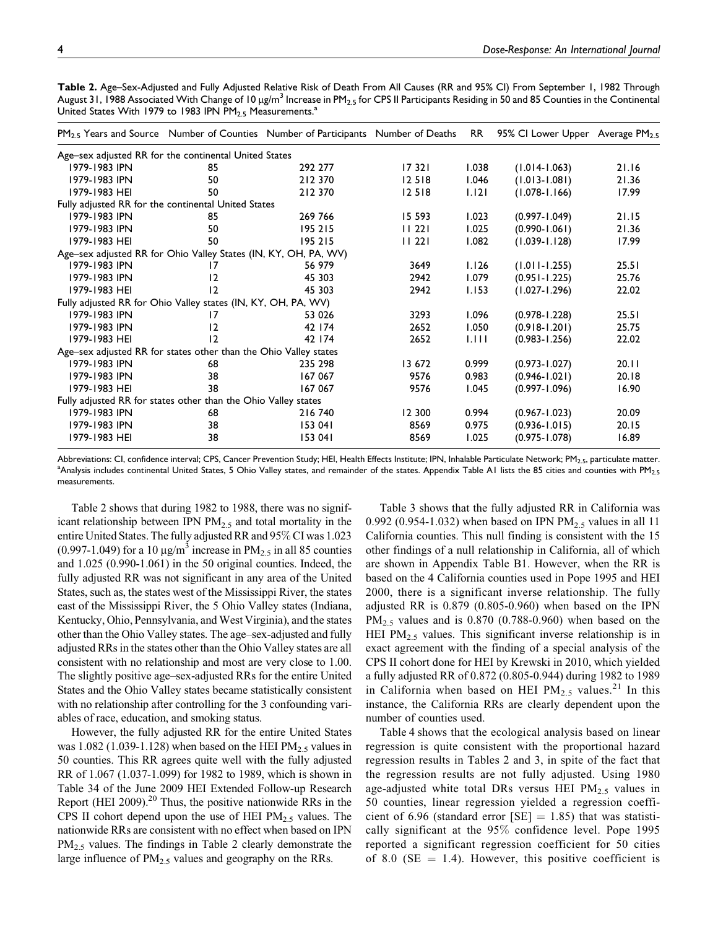|                                                                  |    | PM <sub>2.5</sub> Years and Source Number of Counties Number of Participants Number of Deaths |        | <b>RR</b> | 95% CI Lower Upper Average PM <sub>25</sub> |       |
|------------------------------------------------------------------|----|-----------------------------------------------------------------------------------------------|--------|-----------|---------------------------------------------|-------|
| Age-sex adjusted RR for the continental United States            |    |                                                                                               |        |           |                                             |       |
| 1979-1983 IPN                                                    | 85 | 292 277                                                                                       | 17321  | 1.038     | $(1.014 - 1.063)$                           | 21.16 |
| 1979-1983 IPN                                                    | 50 | 212 370                                                                                       | 12518  | 1.046     | $(1.013 - 1.081)$                           | 21.36 |
| 1979-1983 HEI                                                    | 50 | 212 370                                                                                       | 12518  | 1.121     | $(1.078 - 1.166)$                           | 17.99 |
| Fully adjusted RR for the continental United States              |    |                                                                                               |        |           |                                             |       |
| 1979-1983 IPN                                                    | 85 | 269 766                                                                                       | 15 593 | 1.023     | $(0.997 - 1.049)$                           | 21.15 |
| 1979-1983 IPN                                                    | 50 | 195 215                                                                                       | 11221  | 1.025     | $(0.990 - 1.061)$                           | 21.36 |
| 1979-1983 HEI                                                    | 50 | 195 215                                                                                       | 11221  | 1.082     | $(1.039 - 1.128)$                           | 17.99 |
| Age-sex adjusted RR for Ohio Valley States (IN, KY, OH, PA, WV)  |    |                                                                                               |        |           |                                             |       |
| 1979-1983 IPN                                                    | 17 | 56 979                                                                                        | 3649   | 1.126     | $(1.011 - 1.255)$                           | 25.51 |
| 1979-1983 IPN                                                    | 12 | 45 303                                                                                        | 2942   | 1.079     | $(0.951 - 1.225)$                           | 25.76 |
| 1979-1983 HEI                                                    | 12 | 45 303                                                                                        | 2942   | 1.153     | $(1.027 - 1.296)$                           | 22.02 |
| Fully adjusted RR for Ohio Valley states (IN, KY, OH, PA, WV)    |    |                                                                                               |        |           |                                             |       |
| 1979-1983 IPN                                                    | 17 | 53 026                                                                                        | 3293   | 1.096     | $(0.978 - 1.228)$                           | 25.51 |
| 1979-1983 IPN                                                    | 12 | 42 174                                                                                        | 2652   | 1.050     | $(0.918 - 1.201)$                           | 25.75 |
| 1979-1983 HEI                                                    | 12 | 42 174                                                                                        | 2652   | 1.111     | $(0.983 - 1.256)$                           | 22.02 |
| Age-sex adjusted RR for states other than the Ohio Valley states |    |                                                                                               |        |           |                                             |       |
| 1979-1983 IPN                                                    | 68 | 235 298                                                                                       | 13 672 | 0.999     | $(0.973 - 1.027)$                           | 20.11 |
| 1979-1983 IPN                                                    | 38 | 167 067                                                                                       | 9576   | 0.983     | $(0.946 - 1.021)$                           | 20.18 |
| 1979-1983 HEI                                                    | 38 | 167 067                                                                                       | 9576   | 1.045     | $(0.997 - 1.096)$                           | 16.90 |
| Fully adjusted RR for states other than the Ohio Valley states   |    |                                                                                               |        |           |                                             |       |
| 1979-1983 IPN                                                    | 68 | 216 740                                                                                       | 12 300 | 0.994     | $(0.967 - 1.023)$                           | 20.09 |
| 1979-1983 IPN                                                    | 38 | 153 041                                                                                       | 8569   | 0.975     | $(0.936 - 1.015)$                           | 20.15 |
| 1979-1983 HEI                                                    | 38 | 153 041                                                                                       | 8569   | 1.025     | $(0.975 - 1.078)$                           | 16.89 |

Table 2. Age–Sex-Adjusted and Fully Adjusted Relative Risk of Death From All Causes (RR and 95% CI) From September 1, 1982 Through August 31, 1988 Associated With Change of 10  $\mu$ g/m<sup>3</sup> Increase in PM<sub>2.5</sub> for CPS II Participants Residing in 50 and 85 Counties in the Continental United States With 1979 to 1983 IPN PM<sub>2.5</sub> Measurements.<sup>a</sup>

Abbreviations: CI, confidence interval; CPS, Cancer Prevention Study; HEI, Health Effects Institute; IPN, Inhalable Particulate Network; PM<sub>2.5</sub>, particulate matter.  $^{\rm a}$ Analysis includes continental United States, 5 Ohio Valley states, and remainder of the states. Appendix Table A1 lists the 85 cities and counties with PM $_{2.5}$ measurements.

Table 2 shows that during 1982 to 1988, there was no significant relationship between IPN  $PM_{2.5}$  and total mortality in the entire United States. The fully adjusted RR and 95% CI was 1.023 (0.997-1.049) for a 10  $\mu$ g/m<sup>3</sup> increase in PM<sub>2.5</sub> in all 85 counties and 1.025 (0.990-1.061) in the 50 original counties. Indeed, the fully adjusted RR was not significant in any area of the United States, such as, the states west of the Mississippi River, the states east of the Mississippi River, the 5 Ohio Valley states (Indiana, Kentucky, Ohio, Pennsylvania, and West Virginia), and the states other than the Ohio Valley states. The age–sex-adjusted and fully adjusted RRs in the states other than the Ohio Valley states are all consistent with no relationship and most are very close to 1.00. The slightly positive age–sex-adjusted RRs for the entire United States and the Ohio Valley states became statistically consistent with no relationship after controlling for the 3 confounding variables of race, education, and smoking status.

However, the fully adjusted RR for the entire United States was 1.082 (1.039-1.128) when based on the HEI  $PM_{2.5}$  values in 50 counties. This RR agrees quite well with the fully adjusted RR of 1.067 (1.037-1.099) for 1982 to 1989, which is shown in Table 34 of the June 2009 HEI Extended Follow-up Research Report (HEI 2009).<sup>20</sup> Thus, the positive nationwide RRs in the CPS II cohort depend upon the use of HEI  $PM_{2.5}$  values. The nationwide RRs are consistent with no effect when based on IPN  $PM_{2.5}$  values. The findings in Table 2 clearly demonstrate the large influence of  $PM_{2.5}$  values and geography on the RRs.

Table 3 shows that the fully adjusted RR in California was 0.992 (0.954-1.032) when based on IPN  $PM_{2.5}$  values in all 11 California counties. This null finding is consistent with the 15 other findings of a null relationship in California, all of which are shown in Appendix Table B1. However, when the RR is based on the 4 California counties used in Pope 1995 and HEI 2000, there is a significant inverse relationship. The fully adjusted RR is 0.879 (0.805-0.960) when based on the IPN  $PM_{2.5}$  values and is 0.870 (0.788-0.960) when based on the HEI PM<sub>2.5</sub> values. This significant inverse relationship is in exact agreement with the finding of a special analysis of the CPS II cohort done for HEI by Krewski in 2010, which yielded a fully adjusted RR of 0.872 (0.805-0.944) during 1982 to 1989 in California when based on HEI  $PM_{2.5}$  values.<sup>21</sup> In this instance, the California RRs are clearly dependent upon the number of counties used.

Table 4 shows that the ecological analysis based on linear regression is quite consistent with the proportional hazard regression results in Tables 2 and 3, in spite of the fact that the regression results are not fully adjusted. Using 1980 age-adjusted white total DRs versus HEI  $PM_{2.5}$  values in 50 counties, linear regression yielded a regression coefficient of 6.96 (standard error  $[SE] = 1.85$ ) that was statistically significant at the 95% confidence level. Pope 1995 reported a significant regression coefficient for 50 cities of 8.0 ( $SE = 1.4$ ). However, this positive coefficient is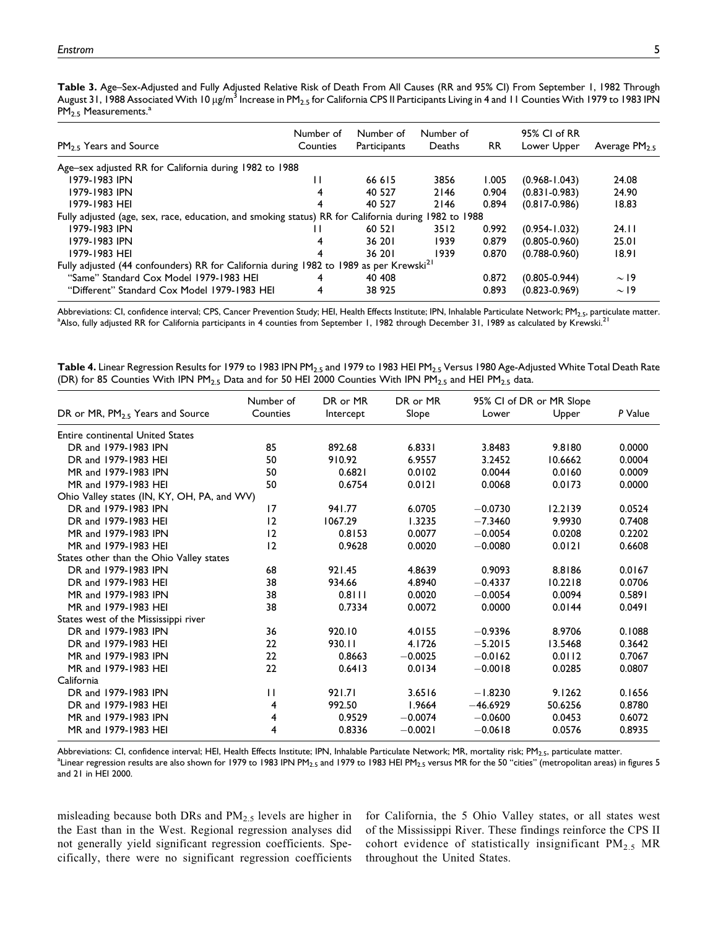Table 3. Age–Sex-Adjusted and Fully Adjusted Relative Risk of Death From All Causes (RR and 95% CI) From September 1, 1982 Through August 31, 1988 Associated With 10  $\mu$ g/m<sup>3</sup> Increase in PM<sub>2.5</sub> for California CPS II Participants Living in 4 and 11 Counties With 1979 to 1983 IPN  $PM<sub>2.5</sub>$  Measurements.<sup>a</sup>

| $PM_2$ , Years and Source                                                                            | Number of<br>Counties | Number of<br>Participants | Number of<br>Deaths | <b>RR</b> | 95% CI of RR<br>Lower Upper | Average $PM_{25}$ |
|------------------------------------------------------------------------------------------------------|-----------------------|---------------------------|---------------------|-----------|-----------------------------|-------------------|
| Age-sex adjusted RR for California during 1982 to 1988                                               |                       |                           |                     |           |                             |                   |
| 1979-1983 IPN                                                                                        | $\mathsf{L}$          | 66 615                    | 3856                | 1.005     | $(0.968 - 1.043)$           | 24.08             |
| 1979-1983 IPN                                                                                        | 4                     | 40 527                    | 2146                | 0.904     | $(0.831 - 0.983)$           | 24.90             |
| 1979-1983 HEI                                                                                        | 4                     | 40 527                    | 2146                | 0.894     | $(0.817 - 0.986)$           | 18.83             |
| Fully adjusted (age, sex, race, education, and smoking status) RR for California during 1982 to 1988 |                       |                           |                     |           |                             |                   |
| 1979-1983 IPN                                                                                        |                       | 60 521                    | 3512                | 0.992     | $(0.954 - 1.032)$           | 24.11             |
| 1979-1983 IPN                                                                                        | 4                     | 36 201                    | 1939                | 0.879     | $(0.805 - 0.960)$           | 25.01             |
| 1979-1983 HEI                                                                                        | 4                     | 36 201                    | 1939                | 0.870     | $(0.788 - 0.960)$           | 18.91             |
| Fully adjusted (44 confounders) RR for California during 1982 to 1989 as per Krewski <sup>21</sup>   |                       |                           |                     |           |                             |                   |
| "Same" Standard Cox Model 1979-1983 HEI                                                              | 4                     | 40 408                    |                     | 0.872     | $(0.805 - 0.944)$           | $\sim$ 19         |
| "Different" Standard Cox Model 1979-1983 HEI                                                         | 4                     | 38 925                    |                     | 0.893     | $(0.823 - 0.969)$           | $\sim$ 19         |

Abbreviations: CI, confidence interval; CPS, Cancer Prevention Study; HEI, Health Effects Institute; IPN, Inhalable Particulate Network; PM<sub>2.5</sub>, particulate matter. <sup>a</sup>Also, fully adjusted RR for California participants in 4 counties from September 1, 1982 through December 31, 1989 as calculated by Krewski.<sup>21</sup>

| Table 4. Linear Regression Results for 1979 to 1983 IPN PM <sub>2.5</sub> and 1979 to 1983 HEI PM <sub>2.5</sub> Versus 1980 Age-Adjusted White Total Death Rate |  |  |
|------------------------------------------------------------------------------------------------------------------------------------------------------------------|--|--|
| (DR) for 85 Counties With IPN PM <sub>2.5</sub> Data and for 50 HEI 2000 Counties With IPN PM <sub>2.5</sub> and HEI PM <sub>2.5</sub> data.                     |  |  |

|                                              | Number of    | DR or MR  | DR or MR  |            | 95% CI of DR or MR Slope |         |
|----------------------------------------------|--------------|-----------|-----------|------------|--------------------------|---------|
| DR or MR, PM <sub>2.5</sub> Years and Source | Counties     | Intercept | Slope     | Lower      | Upper                    | P Value |
| <b>Entire continental United States</b>      |              |           |           |            |                          |         |
| DR and 1979-1983 IPN                         | 85           | 892.68    | 6.8331    | 3.8483     | 9.8180                   | 0.0000  |
| DR and 1979-1983 HEI                         | 50           | 910.92    | 6.9557    | 3.2452     | 10.6662                  | 0.0004  |
| MR and 1979-1983 IPN                         | 50           | 0.6821    | 0.0102    | 0.0044     | 0.0160                   | 0.0009  |
| MR and 1979-1983 HEI                         | 50           | 0.6754    | 0.0121    | 0.0068     | 0.0173                   | 0.0000  |
| Ohio Valley states (IN, KY, OH, PA, and WV)  |              |           |           |            |                          |         |
| DR and 1979-1983 IPN                         | 17           | 941.77    | 6.0705    | $-0.0730$  | 12.2139                  | 0.0524  |
| DR and 1979-1983 HEI                         | 12           | 1067.29   | 1.3235    | $-7.3460$  | 9.9930                   | 0.7408  |
| MR and 1979-1983 IPN                         | 12           | 0.8153    | 0.0077    | $-0.0054$  | 0.0208                   | 0.2202  |
| MR and 1979-1983 HEI                         | 12           | 0.9628    | 0.0020    | $-0.0080$  | 0.0121                   | 0.6608  |
| States other than the Ohio Valley states     |              |           |           |            |                          |         |
| DR and 1979-1983 IPN                         | 68           | 921.45    | 4.8639    | 0.9093     | 8.8186                   | 0.0167  |
| DR and 1979-1983 HEI                         | 38           | 934.66    | 4.8940    | $-0.4337$  | 10.2218                  | 0.0706  |
| MR and 1979-1983 IPN                         | 38           | 0.8111    | 0.0020    | $-0.0054$  | 0.0094                   | 0.5891  |
| MR and 1979-1983 HEI                         | 38           | 0.7334    | 0.0072    | 0.0000     | 0.0144                   | 0.0491  |
| States west of the Mississippi river         |              |           |           |            |                          |         |
| DR and 1979-1983 IPN                         | 36           | 920.10    | 4.0155    | $-0.9396$  | 8.9706                   | 0.1088  |
| DR and 1979-1983 HEI                         | 22           | 930.11    | 4.1726    | $-5.2015$  | 13.5468                  | 0.3642  |
| MR and 1979-1983 IPN                         | 22           | 0.8663    | $-0.0025$ | $-0.0162$  | 0.0112                   | 0.7067  |
| MR and 1979-1983 HEI                         | 22           | 0.6413    | 0.0134    | $-0.0018$  | 0.0285                   | 0.0807  |
| California                                   |              |           |           |            |                          |         |
| DR and 1979-1983 IPN                         | $\mathbf{L}$ | 921.71    | 3.6516    | $-1.8230$  | 9.1262                   | 0.1656  |
| DR and 1979-1983 HEI                         | 4            | 992.50    | 1.9664    | $-46.6929$ | 50.6256                  | 0.8780  |
| MR and 1979-1983 IPN                         | 4            | 0.9529    | $-0.0074$ | $-0.0600$  | 0.0453                   | 0.6072  |
| MR and 1979-1983 HEI                         | 4            | 0.8336    | $-0.0021$ | $-0.0618$  | 0.0576                   | 0.8935  |

Abbreviations: CI, confidence interval; HEI, Health Effects Institute; IPN, Inhalable Particulate Network; MR, mortality risk; PM<sub>2.5</sub>, particulate matter. <sup>a</sup> Linear regression results are also shown for 1979 to 1983 IPN PM<sub>2.5</sub> and 1979 to 1983 HEI PM<sub>2.5</sub> versus MR for the 50 "cities" (metropolitan areas) in figures 5 and 21 in HEI 2000.

misleading because both DRs and  $PM<sub>2.5</sub>$  levels are higher in the East than in the West. Regional regression analyses did not generally yield significant regression coefficients. Specifically, there were no significant regression coefficients for California, the 5 Ohio Valley states, or all states west of the Mississippi River. These findings reinforce the CPS II cohort evidence of statistically insignificant  $PM_{2.5}$  MR throughout the United States.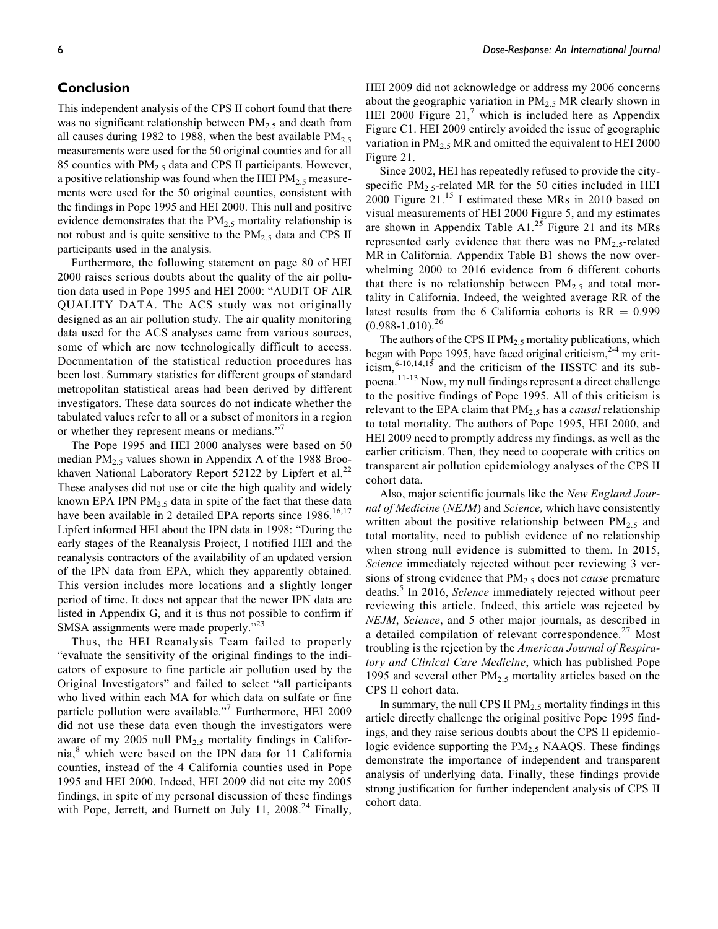## Conclusion

This independent analysis of the CPS II cohort found that there was no significant relationship between  $PM_{2.5}$  and death from all causes during 1982 to 1988, when the best available  $PM_{2.5}$ measurements were used for the 50 original counties and for all 85 counties with  $PM<sub>2.5</sub>$  data and CPS II participants. However, a positive relationship was found when the HEI  $PM_{2.5}$  measurements were used for the 50 original counties, consistent with the findings in Pope 1995 and HEI 2000. This null and positive evidence demonstrates that the  $PM<sub>2.5</sub>$  mortality relationship is not robust and is quite sensitive to the  $PM_{2.5}$  data and CPS II participants used in the analysis.

Furthermore, the following statement on page 80 of HEI 2000 raises serious doubts about the quality of the air pollution data used in Pope 1995 and HEI 2000: "AUDIT OF AIR QUALITY DATA. The ACS study was not originally designed as an air pollution study. The air quality monitoring data used for the ACS analyses came from various sources, some of which are now technologically difficult to access. Documentation of the statistical reduction procedures has been lost. Summary statistics for different groups of standard metropolitan statistical areas had been derived by different investigators. These data sources do not indicate whether the tabulated values refer to all or a subset of monitors in a region or whether they represent means or medians."<sup>7</sup>

The Pope 1995 and HEI 2000 analyses were based on 50 median  $PM_{2.5}$  values shown in Appendix A of the 1988 Brookhaven National Laboratory Report 52122 by Lipfert et al.<sup>22</sup> These analyses did not use or cite the high quality and widely known EPA IPN  $PM_{2.5}$  data in spite of the fact that these data have been available in 2 detailed EPA reports since 1986.<sup>16,17</sup> Lipfert informed HEI about the IPN data in 1998: "During the early stages of the Reanalysis Project, I notified HEI and the reanalysis contractors of the availability of an updated version of the IPN data from EPA, which they apparently obtained. This version includes more locations and a slightly longer period of time. It does not appear that the newer IPN data are listed in Appendix G, and it is thus not possible to confirm if SMSA assignments were made properly."<sup>23</sup>

Thus, the HEI Reanalysis Team failed to properly "evaluate the sensitivity of the original findings to the indicators of exposure to fine particle air pollution used by the Original Investigators" and failed to select "all participants who lived within each MA for which data on sulfate or fine particle pollution were available."<sup>7</sup> Furthermore, HEI 2009 did not use these data even though the investigators were aware of my 2005 null  $PM_{2.5}$  mortality findings in California,<sup>8</sup> which were based on the IPN data for 11 California counties, instead of the 4 California counties used in Pope 1995 and HEI 2000. Indeed, HEI 2009 did not cite my 2005 findings, in spite of my personal discussion of these findings with Pope, Jerrett, and Burnett on July 11,  $2008.<sup>24</sup>$  Finally, HEI 2009 did not acknowledge or address my 2006 concerns about the geographic variation in  $PM_{2.5}$  MR clearly shown in HEI 2000 Figure  $21<sub>1</sub><sup>7</sup>$  which is included here as Appendix Figure C1. HEI 2009 entirely avoided the issue of geographic variation in  $PM_{2.5}$  MR and omitted the equivalent to HEI 2000 Figure 21.

Since 2002, HEI has repeatedly refused to provide the cityspecific  $PM<sub>2</sub>$ -related MR for the 50 cities included in HEI 2000 Figure  $21.^{15}$  I estimated these MRs in 2010 based on visual measurements of HEI 2000 Figure 5, and my estimates are shown in Appendix Table A1.<sup>25</sup> Figure 21 and its MRs represented early evidence that there was no  $PM_{2.5}$ -related MR in California. Appendix Table B1 shows the now overwhelming 2000 to 2016 evidence from 6 different cohorts that there is no relationship between  $PM_{2.5}$  and total mortality in California. Indeed, the weighted average RR of the latest results from the 6 California cohorts is  $RR = 0.999$  $(0.988 - 1.010).^{26}$ 

The authors of the CPS II  $PM_{2.5}$  mortality publications, which began with Pope 1995, have faced original criticism, $2-4$  my criticism,  $6-10,14,15$  and the criticism of the HSSTC and its subpoena.<sup>11-13</sup> Now, my null findings represent a direct challenge to the positive findings of Pope 1995. All of this criticism is relevant to the EPA claim that  $PM_{2.5}$  has a *causal* relationship to total mortality. The authors of Pope 1995, HEI 2000, and HEI 2009 need to promptly address my findings, as well as the earlier criticism. Then, they need to cooperate with critics on transparent air pollution epidemiology analyses of the CPS II cohort data.

Also, major scientific journals like the New England Journal of Medicine (NEJM) and Science, which have consistently written about the positive relationship between  $PM_{2.5}$  and total mortality, need to publish evidence of no relationship when strong null evidence is submitted to them. In 2015, Science immediately rejected without peer reviewing 3 versions of strong evidence that  $PM_{2.5}$  does not *cause* premature deaths.<sup>5</sup> In 2016, Science immediately rejected without peer reviewing this article. Indeed, this article was rejected by NEJM, Science, and 5 other major journals, as described in a detailed compilation of relevant correspondence.<sup>27</sup> Most troubling is the rejection by the American Journal of Respiratory and Clinical Care Medicine, which has published Pope 1995 and several other  $PM_{2.5}$  mortality articles based on the CPS II cohort data.

In summary, the null CPS II  $PM<sub>2.5</sub>$  mortality findings in this article directly challenge the original positive Pope 1995 findings, and they raise serious doubts about the CPS II epidemiologic evidence supporting the  $PM<sub>2.5</sub>$  NAAQS. These findings demonstrate the importance of independent and transparent analysis of underlying data. Finally, these findings provide strong justification for further independent analysis of CPS II cohort data.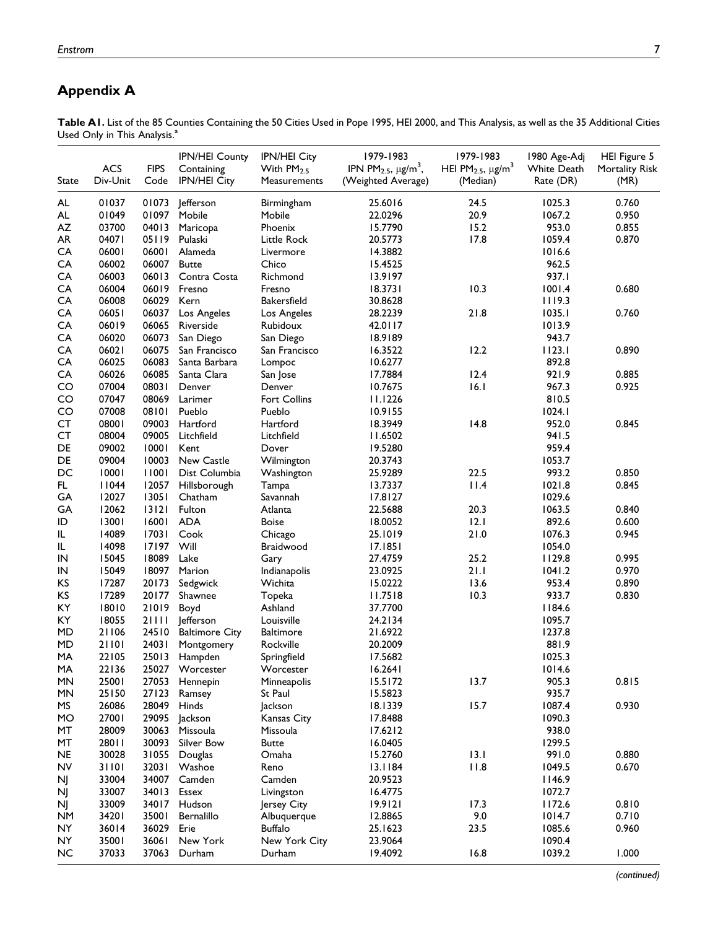## Appendix A

Table A1. List of the 85 Counties Containing the 50 Cities Used in Pope 1995, HEI 2000, and This Analysis, as well as the 35 Additional Cities Used Only in This Analysis.<sup>a</sup>

| State         | ACS<br>Div-Unit | <b>FIPS</b><br>Code | <b>IPN/HEI County</b><br>Containing<br>IPN/HEI City | <b>IPN/HEI City</b><br>With PM <sub>2.5</sub><br>Measurements | 1979-1983<br>IPN PM <sub>2.5</sub> , $\mu$ g/m <sup>3</sup> ,<br>(Weighted Average) | 1979-1983<br>HEI PM <sub>2.5</sub> , $\mu$ g/m <sup>3</sup><br>(Median) | 1980 Age-Adj<br>White Death<br>Rate (DR) | HEI Figure 5<br><b>Mortality Risk</b><br>(MR) |
|---------------|-----------------|---------------------|-----------------------------------------------------|---------------------------------------------------------------|-------------------------------------------------------------------------------------|-------------------------------------------------------------------------|------------------------------------------|-----------------------------------------------|
| AL            | 01037           | 01073               | Jefferson                                           | Birmingham                                                    | 25.6016                                                                             | 24.5                                                                    | 1025.3                                   | 0.760                                         |
| AL            | 01049           | 01097               | Mobile                                              | Mobile                                                        | 22.0296                                                                             | 20.9                                                                    | 1067.2                                   | 0.950                                         |
| $\mathsf{AZ}$ | 03700           | 04013               | Maricopa                                            | Phoenix                                                       | 15.7790                                                                             | 15.2                                                                    | 953.0                                    | 0.855                                         |
| AR            | 04071           | 05119               | Pulaski                                             | Little Rock                                                   | 20.5773                                                                             | 17.8                                                                    | 1059.4                                   | 0.870                                         |
| CA            | 06001           | 06001               | Alameda                                             | Livermore                                                     | 14.3882                                                                             |                                                                         | 1016.6                                   |                                               |
| CA            | 06002           | 06007               | <b>Butte</b>                                        | Chico                                                         | 15.4525                                                                             |                                                                         | 962.5                                    |                                               |
| CA            | 06003           | 06013               | Contra Costa                                        | Richmond                                                      | 13.9197                                                                             |                                                                         | 937.I                                    |                                               |
| CA            | 06004           | 06019               | Fresno                                              | Fresno                                                        | 18.3731                                                                             | 10.3                                                                    | 1001.4                                   | 0.680                                         |
| ${\sf CA}$    | 06008           | 06029               | Kern                                                | Bakersfield                                                   | 30.8628                                                                             |                                                                         | 1119.3                                   |                                               |
| CA            | 06051           | 06037               | Los Angeles                                         |                                                               | 28.2239                                                                             | 21.8                                                                    | 1035.1                                   | 0.760                                         |
| CA            | 06019           | 06065               | Riverside                                           | Los Angeles<br>Rubidoux                                       | 42.0117                                                                             |                                                                         | 1013.9                                   |                                               |
| CA            | 06020           | 06073               | San Diego                                           |                                                               | 18.9189                                                                             |                                                                         | 943.7                                    |                                               |
|               |                 |                     |                                                     | San Diego                                                     |                                                                                     |                                                                         |                                          |                                               |
| CA            | 06021           | 06075               | San Francisco                                       | San Francisco                                                 | 16.3522                                                                             | 12.2                                                                    | 1123.1                                   | 0.890                                         |
| CA            | 06025           | 06083               | Santa Barbara                                       | Lompoc                                                        | 10.6277                                                                             |                                                                         | 892.8                                    |                                               |
| CA            | 06026           | 06085               | Santa Clara                                         | San Jose                                                      | 17.7884                                                                             | 12.4                                                                    | 921.9                                    | 0.885                                         |
| CO            | 07004           | 08031               | Denver                                              | Denver                                                        | 10.7675                                                                             | 16.1                                                                    | 967.3                                    | 0.925                                         |
| CO            | 07047           | 08069               | Larimer                                             | Fort Collins                                                  | 11.1226                                                                             |                                                                         | 810.5                                    |                                               |
| CO            | 07008           | 08101               | Pueblo                                              | Pueblo                                                        | 10.9155                                                                             |                                                                         | 1024.1                                   |                                               |
| CT            | 08001           | 09003               | Hartford                                            | Hartford                                                      | 18.3949                                                                             | 14.8                                                                    | 952.0                                    | 0.845                                         |
| CT            | 08004           | 09005               | Litchfield                                          | Litchfield                                                    | 11.6502                                                                             |                                                                         | 941.5                                    |                                               |
| DE            | 09002           | 10001               | Kent                                                | Dover                                                         | 19.5280                                                                             |                                                                         | 959.4                                    |                                               |
| DE            | 09004           | 10003               | New Castle                                          | Wilmington                                                    | 20.3743                                                                             |                                                                         | 1053.7                                   |                                               |
| DC            | 10001           | 11001               | Dist Columbia                                       | Washington                                                    | 25.9289                                                                             | 22.5                                                                    | 993.2                                    | 0.850                                         |
| FL.           | 11044           | 12057               | Hillsborough                                        | Tampa                                                         | 13.7337                                                                             | 11.4                                                                    | 1021.8                                   | 0.845                                         |
| GA            | 12027           | 13051               | Chatham                                             | Savannah                                                      | 17.8127                                                                             |                                                                         | 1029.6                                   |                                               |
| GA            | 12062           | $13121$             | Fulton                                              | Atlanta                                                       | 22.5688                                                                             | 20.3                                                                    | 1063.5                                   | 0.840                                         |
| ID            | 13001           | 16001               | <b>ADA</b>                                          | <b>Boise</b>                                                  | 18.0052                                                                             | 12.1                                                                    | 892.6                                    | 0.600                                         |
| IL            | 14089           | 17031               | Cook                                                | Chicago                                                       | 25.1019                                                                             | 21.0                                                                    | 1076.3                                   | 0.945                                         |
| IL            | 14098           | 17197               | Will                                                | Braidwood                                                     | 17.1851                                                                             |                                                                         | 1054.0                                   |                                               |
| IN            | 15045           | 18089               | Lake                                                | Gary                                                          | 27.4759                                                                             | 25.2                                                                    | 1129.8                                   | 0.995                                         |
| IN            | 15049           | 18097               | Marion                                              | Indianapolis                                                  | 23.0925                                                                             | 21.1                                                                    | 1041.2                                   | 0.970                                         |
| KS            | 17287           | 20173               | Sedgwick                                            | Wichita                                                       | 15.0222                                                                             | 13.6                                                                    | 953.4                                    | 0.890                                         |
| KS            | 17289           | 20177               | Shawnee                                             | Topeka                                                        | 11.7518                                                                             | 10.3                                                                    | 933.7                                    | 0.830                                         |
| KY            | 18010           | 21019               | Boyd                                                | Ashland                                                       | 37.7700                                                                             |                                                                         | 84.6                                     |                                               |
| KY            | 18055           | $21111$             | lefferson                                           | Louisville                                                    | 24.2134                                                                             |                                                                         | 1095.7                                   |                                               |
| MD            | 21106           | 24510               | <b>Baltimore City</b>                               | Baltimore                                                     | 21.6922                                                                             |                                                                         | 1237.8                                   |                                               |
| <b>MD</b>     | 21101           | 24031               | Montgomery                                          | Rockville                                                     | 20.2009                                                                             |                                                                         | 881.9                                    |                                               |
| MA            | 22105           | 25013               | Hampden                                             | Springfield                                                   | 17.5682                                                                             |                                                                         | 1025.3                                   |                                               |
| MA            | 22136           | 25027               | Worcester                                           | Worcester                                                     | 16.2641                                                                             |                                                                         | 1014.6                                   |                                               |
| MN            | 25001           | 27053               | Hennepin                                            | Minneapolis                                                   | 15.5172                                                                             | 13.7                                                                    | 905.3                                    | 0.815                                         |
| MN            | 25150           | 27123               | Ramsey                                              | St Paul                                                       | 15.5823                                                                             |                                                                         | 935.7                                    |                                               |
| MS            | 26086           | 28049               | Hinds                                               | Jackson                                                       | 18.1339                                                                             | 15.7                                                                    | 1087.4                                   | 0.930                                         |
| MO            | 27001           | 29095               | Jackson                                             | Kansas City                                                   | 17.8488                                                                             |                                                                         | 1090.3                                   |                                               |
| MT            | 28009           | 30063               | Missoula                                            | Missoula                                                      | 17.6212                                                                             |                                                                         | 938.0                                    |                                               |
| MT            | 28011           | 30093               | Silver Bow                                          | <b>Butte</b>                                                  | 16.0405                                                                             |                                                                         | 1299.5                                   |                                               |
| <b>NE</b>     | 30028           | 31055               | Douglas                                             | Omaha                                                         | 15.2760                                                                             | 13.1                                                                    | 991.0                                    | 0.880                                         |
| ${\sf NV}$    | 31101           | 32031               | Washoe                                              | Reno                                                          | 13.1184                                                                             | 11.8                                                                    | 1049.5                                   | 0.670                                         |
| NJ            | 33004           | 34007               | Camden                                              | Camden                                                        | 20.9523                                                                             |                                                                         | 146.9                                    |                                               |
| NJ            | 33007           | 34013               | Essex                                               | Livingston                                                    | 16.4775                                                                             |                                                                         | 1072.7                                   |                                               |
|               | 33009           | 34017               | Hudson                                              |                                                               |                                                                                     | 17.3                                                                    | 1172.6                                   | 0.810                                         |
| NJ            |                 |                     |                                                     | Jersey City                                                   | 19.9121                                                                             | 9.0                                                                     |                                          | 0.710                                         |
| <b>NM</b>     | 34201           | 35001               | Bernalillo                                          | Albuquerque                                                   | 12.8865                                                                             |                                                                         | 1014.7                                   |                                               |
| NY.           | 36014           | 36029               | Erie                                                | <b>Buffalo</b>                                                | 25.1623                                                                             | 23.5                                                                    | 1085.6                                   | 0.960                                         |
| NY.           | 35001           | 36061               | New York                                            | New York City                                                 | 23.9064                                                                             |                                                                         | 1090.4                                   |                                               |
| NC            | 37033           | 37063               | Durham                                              | Durham                                                        | 19.4092                                                                             | 16.8                                                                    | 1039.2                                   | 1.000                                         |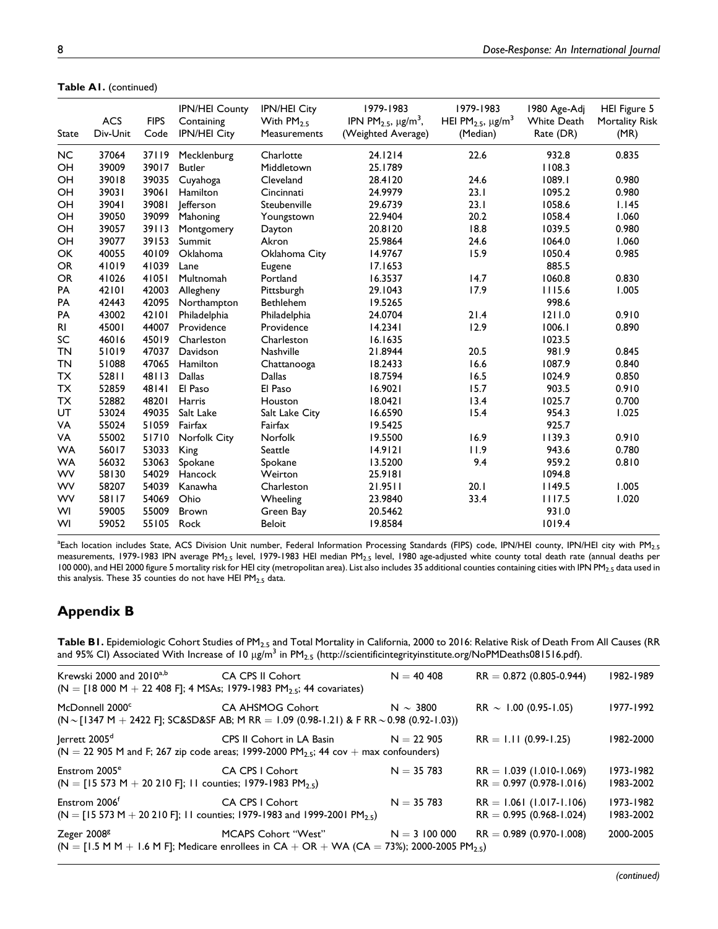| State     | <b>ACS</b><br>Div-Unit | <b>FIPS</b><br>Code | <b>IPN/HEI County</b><br>Containing<br><b>IPN/HEI City</b> | <b>IPN/HEI City</b><br>With $PM2.5$<br>Measurements | 1979-1983<br>IPN PM <sub>2.5</sub> , $\mu$ g/m <sup>3</sup> ,<br>(Weighted Average) | 1979-1983<br>HEI PM <sub>2.5</sub> , $\mu$ g/m <sup>3</sup><br>(Median) | 1980 Age-Adj<br>White Death<br>Rate (DR) | HEI Figure 5<br>Mortality Risk<br>(MR) |
|-----------|------------------------|---------------------|------------------------------------------------------------|-----------------------------------------------------|-------------------------------------------------------------------------------------|-------------------------------------------------------------------------|------------------------------------------|----------------------------------------|
| <b>NC</b> | 37064                  | 37119               | Mecklenburg                                                | Charlotte                                           | 24.1214                                                                             | 22.6                                                                    | 932.8                                    | 0.835                                  |
| OH        | 39009                  | 39017               | <b>Butler</b>                                              | Middletown                                          | 25.1789                                                                             |                                                                         | 1108.3                                   |                                        |
| OH        | 39018                  | 39035               | Cuyahoga                                                   | Cleveland                                           | 28.4120                                                                             | 24.6                                                                    | 1089.1                                   | 0.980                                  |
| OH        | 39031                  | 39061               | Hamilton                                                   | Cincinnati                                          | 24.9979                                                                             | 23.1                                                                    | 1095.2                                   | 0.980                                  |
| OH        | 39041                  | 39081               | lefferson                                                  | Steubenville                                        | 29.6739                                                                             | 23.1                                                                    | 1058.6                                   | 1.145                                  |
| OH        | 39050                  | 39099               | Mahoning                                                   | Youngstown                                          | 22.9404                                                                             | 20.2                                                                    | 1058.4                                   | 1.060                                  |
| OH        | 39057                  | 39113               | Montgomery                                                 | Dayton                                              | 20.8120                                                                             | 18.8                                                                    | 1039.5                                   | 0.980                                  |
| OH        | 39077                  | 39153               | Summit                                                     | Akron                                               | 25.9864                                                                             | 24.6                                                                    | 1064.0                                   | 1.060                                  |
| OK        | 40055                  | 40109               | Oklahoma                                                   | Oklahoma City                                       | 14.9767                                                                             | 15.9                                                                    | 1050.4                                   | 0.985                                  |
| <b>OR</b> | 41019                  | 41039               | Lane                                                       | Eugene                                              | 17.1653                                                                             |                                                                         | 885.5                                    |                                        |
| <b>OR</b> | 41026                  | 41051               | Multnomah                                                  | Portland                                            | 16.3537                                                                             | 14.7                                                                    | 1060.8                                   | 0.830                                  |
| PA        | 42101                  | 42003               | Allegheny                                                  | Pittsburgh                                          | 29.1043                                                                             | 17.9                                                                    | 1115.6                                   | 1.005                                  |
| PA        | 42443                  | 42095               | Northampton                                                | <b>Bethlehem</b>                                    | 19.5265                                                                             |                                                                         | 998.6                                    |                                        |
| PA        | 43002                  | 42101               | Philadelphia                                               | Philadelphia                                        | 24.0704                                                                             | 21.4                                                                    | 1211.0                                   | 0.910                                  |
| R1        | 45001                  | 44007               | Providence                                                 | Providence                                          | 14.2341                                                                             | 12.9                                                                    | 1006.1                                   | 0.890                                  |
| SC        | 46016                  | 45019               | Charleston                                                 | Charleston                                          | 16.1635                                                                             |                                                                         | 1023.5                                   |                                        |
| <b>TN</b> | 51019                  | 47037               | Davidson                                                   | Nashville                                           | 21.8944                                                                             | 20.5                                                                    | 981.9                                    | 0.845                                  |
| <b>TN</b> | 51088                  | 47065               | Hamilton                                                   | Chattanooga                                         | 18.2433                                                                             | 16.6                                                                    | 1087.9                                   | 0.840                                  |
| TX        | 52811                  | 48113               | Dallas                                                     | <b>Dallas</b>                                       | 18.7594                                                                             | 16.5                                                                    | 1024.9                                   | 0.850                                  |
| TX        | 52859                  | 48141               | El Paso                                                    | El Paso                                             | 16.9021                                                                             | 15.7                                                                    | 903.5                                    | 0.910                                  |
| <b>TX</b> | 52882                  | 48201               | <b>Harris</b>                                              | Houston                                             | 18.0421                                                                             | 13.4                                                                    | 1025.7                                   | 0.700                                  |
| UT        | 53024                  | 49035               | Salt Lake                                                  | Salt Lake City                                      | 16.6590                                                                             | 15.4                                                                    | 954.3                                    | 1.025                                  |
| <b>VA</b> | 55024                  | 51059               | Fairfax                                                    | Fairfax                                             | 19.5425                                                                             |                                                                         | 925.7                                    |                                        |
| VA        | 55002                  | 51710               | Norfolk City                                               | <b>Norfolk</b>                                      | 19.5500                                                                             | 16.9                                                                    | 1139.3                                   | 0.910                                  |
| <b>WA</b> | 56017                  | 53033               | King                                                       | Seattle                                             | 14.9121                                                                             | 11.9                                                                    | 943.6                                    | 0.780                                  |
| <b>WA</b> | 56032                  | 53063               | Spokane                                                    | Spokane                                             | 13.5200                                                                             | 9.4                                                                     | 959.2                                    | 0.810                                  |
| <b>WV</b> | 58130                  | 54029               | Hancock                                                    | Weirton                                             | 25.9181                                                                             |                                                                         | 1094.8                                   |                                        |
| <b>WV</b> | 58207                  | 54039               | Kanawha                                                    | Charleston                                          | 21.9511                                                                             | 20.1                                                                    | 1149.5                                   | 1.005                                  |
| <b>WV</b> | 58117                  | 54069               | Ohio                                                       | Wheeling                                            | 23.9840                                                                             | 33.4                                                                    | 1117.5                                   | 1.020                                  |
| WI        | 59005                  | 55009               | Brown                                                      | Green Bay                                           | 20.5462                                                                             |                                                                         | 931.0                                    |                                        |
| WI        | 59052                  | 55105               | Rock                                                       | Beloit                                              | 19.8584                                                                             |                                                                         | 1019.4                                   |                                        |

Table A1. (continued)

 $^{\rm a}$ Each location includes State, ACS Division Unit number, Federal Information Processing Standards (FIPS) code, IPN/HEI county, IPN/HEI city with PM $_{2.5}$ measurements, 1979-1983 IPN average PM<sub>2.5</sub> level, 1979-1983 HEI median PM<sub>2.5</sub> level, 1980 age-adjusted white county total death rate (annual deaths per 100 000), and HEI 2000 figure 5 mortality risk for HEI city (metropolitan area). List also includes 35 additional counties containing cities with IPN PM<sub>2.5</sub> data used in this analysis. These 35 counties do not have HEI PM<sub>2.5</sub> data.

## Appendix B

Table B1. Epidemiologic Cohort Studies of PM<sub>2.5</sub> and Total Mortality in California, 2000 to 2016: Relative Risk of Death From All Causes (RR and 95% CI) Associated With Increase of 10 µg/m<sup>3</sup> in PM<sub>2.5</sub> [\(http://scientificintegrityinstitute.org/NoPMDeaths081516.pdf\)](http://scientificintegrityinstitute.org/NoPMDeaths081516.pdf).

| Krewski 2000 and 2010 <sup>a,b</sup> CA CPS II Cohort<br>(N = [18 000 M + 22 408 F]; 4 MSAs; 1979-1983 PM <sub>2.5</sub> ; 44 covariates) |                                                                                                                                                | $N = 40 408$  | $RR = 0.872(0.805 - 0.944)$                                 | 1982-1989              |
|-------------------------------------------------------------------------------------------------------------------------------------------|------------------------------------------------------------------------------------------------------------------------------------------------|---------------|-------------------------------------------------------------|------------------------|
| McDonnell 2000 <sup>c</sup>                                                                                                               | CA AHSMOG Cohort<br>$(N \sim [1347 M + 2422 F]$ ; SC&SD&SF AB; M RR = 1.09 (0.98-1.21) & F RR $\sim$ 0.98 (0.92-1.03))                         | N $\sim$ 3800 | RR $\sim$ 1.00 (0.95-1.05)                                  | 1977-1992              |
| Jerrett 2005 <sup>d</sup>                                                                                                                 | CPS II Cohort in LA Basin $N = 22905$<br>$(N = 22 905 M$ and F; 267 zip code areas; 1999-2000 PM <sub>2.5</sub> ; 44 cov + max confounders)    |               | $RR = 1.11 (0.99 - 1.25)$                                   | 1982-2000              |
| Enstrom 2005 <sup>e</sup> CA CPS I Cohort<br>(N = [15 573 M + 20 210 F]; 11 counties; 1979-1983 PM <sub>25</sub> )                        |                                                                                                                                                | $N = 35783$   | $RR = 1.039(1.010-1.069)$<br>$RR = 0.997(0.978 - 1.016)$    | 1973-1982<br>1983-2002 |
| Enstrom 2006 <sup>f</sup><br>(N = [15 573 M + 20 210 F]; 11 counties; 1979-1983 and 1999-2001 PM <sub>2.5</sub> )                         | CA CPS I Cohort                                                                                                                                | $N = 35783$   | $RR = 1.061 (1.017 - 1.106)$<br>$RR = 0.995(0.968 - 1.024)$ | 1973-1982<br>1983-2002 |
| $Z$ eger $2008^g$                                                                                                                         | MCAPS Cohort "West" $N = 3100000$<br>$(N = [1.5 M M + 1.6 M F]$ ; Medicare enrollees in CA + OR + WA (CA = 73%); 2000-2005 PM <sub>2.5</sub> ) |               | $RR = 0.989(0.970-1.008)$                                   | 2000-2005              |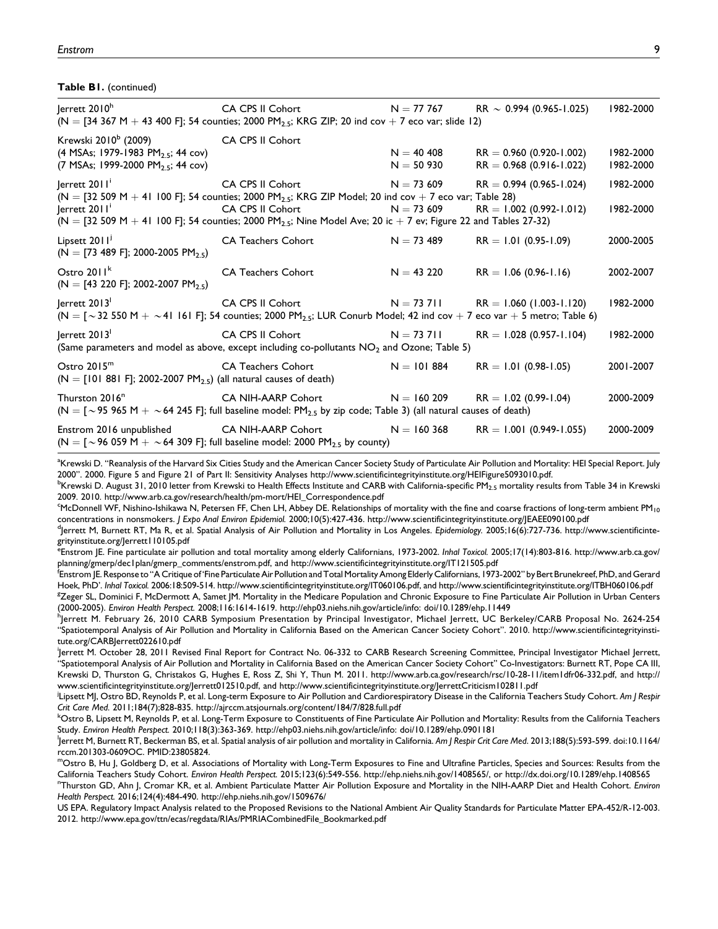#### Table B1. (continued)

| $ $ errett 2010 $n$                                                                                                                  | CA CPS II Cohort<br>$(N = [34 367 M + 43 400 F]$ ; 54 counties; 2000 PM <sub>2.5</sub> ; KRG ZIP; 20 ind cov + 7 eco var; slide 12)                                                                                   |                             | $N = 77 767$ RR $\sim 0.994 (0.965 - 1.025)$                | 1982-2000              |
|--------------------------------------------------------------------------------------------------------------------------------------|-----------------------------------------------------------------------------------------------------------------------------------------------------------------------------------------------------------------------|-----------------------------|-------------------------------------------------------------|------------------------|
| Krewski 2010 <sup>b</sup> (2009)<br>(4 MSAs; 1979-1983 PM <sub>2.5</sub> ; 44 cov)<br>(7 MSAs; 1999-2000 PM <sub>2.5</sub> ; 44 cov) | <b>CA CPS II Cohort</b>                                                                                                                                                                                               | $N = 40 408$<br>$N = 50930$ | $RR = 0.960(0.920 - 1.002)$<br>$RR = 0.968(0.916 - 1.022)$  | 1982-2000<br>1982-2000 |
| lerrett 2011'                                                                                                                        | CA CPS II Cohort CA CPS II Cohort<br>$(N = [32 509 M + 41 100 F]; 54$ counties; 2000 PM <sub>2.5</sub> ; KRG ZIP Model; 20 ind cov + 7 eco var; Table 28)                                                             | $N = 73,609$                | $RR = 0.994(0.965 - 1.024)$<br>$RR = 1.002 (0.992 - 1.012)$ | 1982-2000<br>1982-2000 |
| Lipsett 2011<br>$(N = [73 489 F]; 2000-2005 PM_{2.5})$                                                                               | $(N = 132 509 M + 41 100 F$ ; 54 counties; 2000 PM <sub>2.5</sub> ; Nine Model Ave; 20 ic + 7 ev; Figure 22 and Tables 27-32)<br><b>CA Teachers Cohort</b>                                                            | $N = 73,489$                | $RR = 1.01(0.95 - 1.09)$                                    | 2000-2005              |
| Ostro $2011^k$<br>$(N = [43 220 F]; 2002-2007 PM_{2.5})$                                                                             | <b>CA Teachers Cohort</b>                                                                                                                                                                                             | $N = 43220$                 | $RR = 1.06(0.96 - 1.16)$                                    | 2002-2007              |
| $ $ errett 2013 <sup>1</sup>                                                                                                         | CA CPS II Cohort $N = 73$ 711 RR = 1.060 (1.003-1.120)<br>$(N = \lceil \sim 32\,550\,M + \sim 41\,161\,F\rfloor$ ; 54 counties; 2000 PM <sub>2.5</sub> ; LUR Conurb Model; 42 ind cov + 7 eco var + 5 metro; Table 6) |                             |                                                             | 1982-2000              |
| $ $ errett 2013 $ $                                                                                                                  | CA CPS II Cohort $N = 73$ 711<br>(Same parameters and model as above, except including co-pollutants NO <sub>2</sub> and Ozone; Table 5)                                                                              |                             | $RR = 1.028(0.957 - 1.104)$                                 | 1982-2000              |
| Ostro $2015^m$<br>$(N = [101 881 F]; 2002-2007 PM_{2.5})$ (all natural causes of death)                                              | CA Teachers Cohort                                                                                                                                                                                                    | $N = 101884$                | $RR = 1.01(0.98-1.05)$                                      | 2001-2007              |
| Thurston 2016 <sup>n</sup>                                                                                                           | <b>CA NIH-AARP Cohort</b><br>(N = $[\sim$ 95 965 M + $\sim$ 64 245 F]; full baseline model: PM <sub>2.5</sub> by zip code; Table 3) (all natural causes of death)                                                     |                             | $N = 160 209$ RR = 1.02 (0.99-1.04)                         | 2000-2009              |
|                                                                                                                                      | Enstrom 2016 unpublished CA NIH-AARP Cohort $N = 160368$ RR = 1.001 (0.949-1.055)<br>(N = [ $\sim$ 96 059 M + $\sim$ 64 309 F]; full baseline model: 2000 PM <sub>2.5</sub> by county)                                |                             |                                                             | 2000-2009              |

<sup>a</sup>Krewski D. "Reanalysis of the Harvard Six Cities Study and the American Cancer Society Study of Particulate Air Pollution and Mortality: HEI Special Report. July 2000". 2000. Figure 5 and Figure 21 of Part II: Sensitivity Analyses<http://www.scientificintegrityinstitute.org/HEIFigure5093010.pdf>.

 $^{\rm b}$ Krewski D. August 31, 2010 letter from Krewski to Health Effects Institute and CARB with California-specific PM $_{2.5}$  mortality results from Table 34 in Krewski 2009. 2010. [http://www.arb.ca.gov/research/health/pm-mort/HEI\\_Correspondence.pdf](http://www.arb.ca.gov/research/health/pm-mort/HEI_Correspondence.pdf)

 $^{\circ}$ McDonnell WF, Nishino-Ishikawa N, Petersen FF, Chen LH, Abbey DE. Relationships of mortality with the fine and coarse fractions of long-term ambient PM<sub>10</sub> concentrations in nonsmokers. J Expo Anal Environ Epidemiol. 2000;10(5):427-436.<http://www.scientificintegrityinstitute.org/JEAEE090100.pdf> <sup>d</sup>

Jerrett M, Burnett RT, Ma R, et al. Spatial Analysis of Air Pollution and Mortality in Los Angeles. Epidemiology. 2005;16(6):727-736. [http://www.scientificinte](http://www.scientificintegrityinstitute.org/Jerrett110105.pdf)[grityinstitute.org/Jerrett110105.pdf](http://www.scientificintegrityinstitute.org/Jerrett110105.pdf)

e<br>Finstrom JE. Fine particulate air pollution and total mortality among elderly Californians, 1973-2002. I*nhal Toxicol*. 2005;17(14):803-816. [http://www.arb.ca.gov/](http://www.arb.ca.gov/planning/gmerp/dec1plan/gmerp_comments/enstrom.pdf) [planning/gmerp/dec1plan/gmerp\\_comments/enstrom.pdf](http://www.arb.ca.gov/planning/gmerp/dec1plan/gmerp_comments/enstrom.pdf), and<http://www.scientificintegrityinstitute.org/IT121505.pdf>

f Enstrom JE. Response to "A Critique of 'Fine Particulate Air Pollution and Total Mortality Among Elderly Californians, 1973-2002" by Bert Brunekreef, PhD, and Gerard Hoek, PhD'. Inhal Toxicol. 2006:18:509-514. [http://www.scientificintegrityinstitute.org/IT060106.pdf,](http://www.scientificintegrityinstitute.org/IT060106.pdf) and<http://www.scientificintegrityinstitute.org/ITBH060106.pdf> <sup>g</sup> <sup>8</sup>Zeger SL, Dominici F, McDermott A, Samet JM. Mortality in the Medicare Population and Chronic Exposure to Fine Particulate Air Pollution in Urban Centers (2000-2005). Environ Health Perspect. 2008;116:1614-1619. [http://ehp03.niehs.nih.gov/article/info:](http://ehp03.niehs.nih.gov/article/info) doi/10.1289/ehp.11449 <sup>h</sup>

Jerrett M. February 26, 2010 CARB Symposium Presentation by Principal Investigator, Michael Jerrett, UC Berkeley/CARB Proposal No. 2624-254 "Spatiotemporal Analysis of Air Pollution and Mortality in California Based on the American Cancer Society Cohort". 2010. [http://www.scientificintegrityinsti](http://www.scientificintegrityinstitute.org/CARBJerrett022610.pdf)[tute.org/CARBJerrett022610.pdf](http://www.scientificintegrityinstitute.org/CARBJerrett022610.pdf)

i Jerrett M. October 28, 2011 Revised Final Report for Contract No. 06-332 to CARB Research Screening Committee, Principal Investigator Michael Jerrett, "Spatiotemporal Analysis of Air Pollution and Mortality in California Based on the American Cancer Society Cohort" Co-Investigators: Burnett RT, Pope CA III, Krewski D, Thurston G, Christakos G, Hughes E, Ross Z, Shi Y, Thun M. 2011. [http://www.arb.ca.gov/research/rsc/10-28-11/item1dfr06-332.pdf,](http://www.arb.ca.gov/research/rsc/10-28-11/item1dfr06-332.pdf) and [http://](http://www.scientificintegrityinstitute.org/Jerrett012510.pdf) [www.scientificintegrityinstitute.org/Jerrett012510.pdf](http://www.scientificintegrityinstitute.org/Jerrett012510.pdf), and<http://www.scientificintegrityinstitute.org/JerrettCriticism102811.pdf>

.<br>Lipsett MJ, Ostro BD, Reynolds P, et al. Long-term Exposure to Air Pollution and Cardiorespiratory Disease in the California Teachers Study Cohort. Am J Respir Crit Care Med. 2011;184(7);828-835.<http://ajrccm.atsjournals.org/content/184/7/828.full.pdf> <sup>k</sup>

 $^\kappa$ Ostro B, Lipsett M, Reynolds P, et al. Long-Term Exposure to Constituents of Fine Particulate Air Pollution and Mortality: Results from the California Teachers Study. Environ Health Perspect. 2010;118(3):363-369. [http://ehp03.niehs.nih.gov/article/info:](http://ehp03.niehs.nih.gov/article/info) doi/10.1289/ehp.0901181 <sup>l</sup>

Jerrett M, Burnett RT, Beckerman BS, et al. Spatial analysis of air pollution and mortality in California. Am J Respir Crit Care Med. 2013;188(5):593-599. doi:10.1164/ rccm.201303-0609OC. PMID:[23805824.](http://www.ncbi.nlm.nih.gov/pubmed/23805824)

mOstro B, Hu J, Goldberg D, et al. Associations of Mortality with Long-Term Exposures to Fine and Ultrafine Particles, Species and Sources: Results from the California Teachers Study Cohort. Environ Health Perspect. 2015;123(6):549-556. [http://ehp.niehs.nih.gov/1408565/,](http://ehp.niehs.nih.gov/1408565/) or<http://dx.doi.org/10.1289/ehp.1408565> "Thurston GD, Ahn J, Cromar KR, et al. Ambient Particulate Matter Air Pollution Exposure and Mortality in the NIH-AARP Diet and Health Cohort. Environ Health Perspect. 2016;124(4):484-490.<http://ehp.niehs.nih.gov/1509676/>

US EPA. Regulatory Impact Analysis related to the Proposed Revisions to the National Ambient Air Quality Standards for Particulate Matter EPA-452/R-12-003. 2012. [http://www.epa.gov/ttn/ecas/regdata/RIAs/PMRIACombinedFile\\_Bookmarked.pdf](http://www.epa.gov/ttn/ecas/regdata/RIAs/PMRIACombinedFile_Bookmarked.pdf)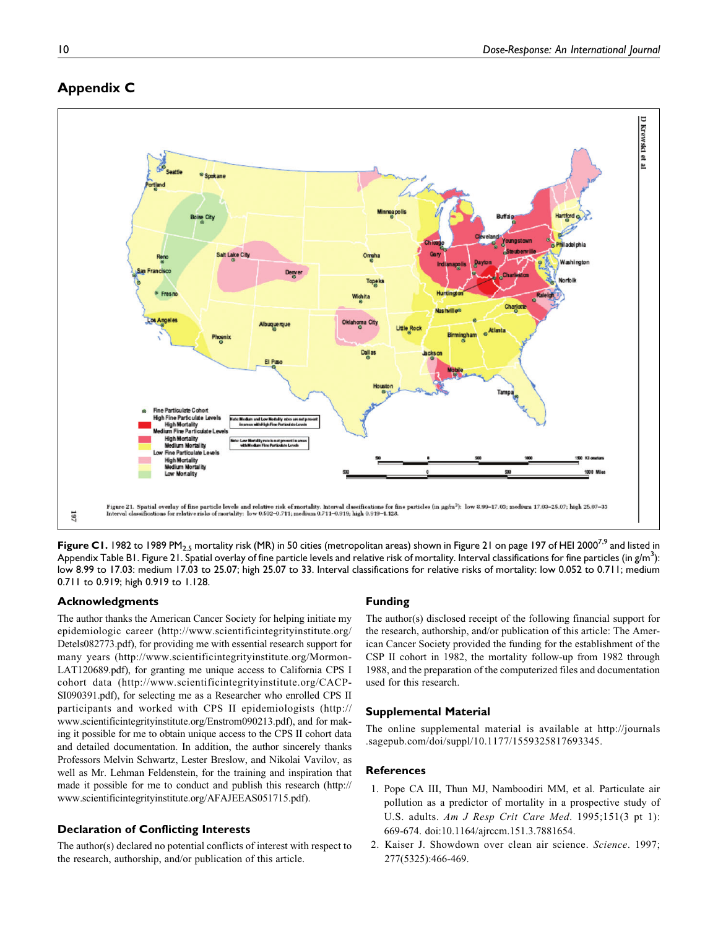

## Appendix C

Figure C1. 1982 to 1989 PM<sub>2.5</sub> mortality risk (MR) in 50 cities (metropolitan areas) shown in Figure 21 on page 197 of HEI 2000<sup>7,9</sup> and listed in Appendix Table B1. Figure 21. Spatial overlay of fine particle levels and relative risk of mortality. Interval classifications for fine particles (in g/m<sup>3</sup>): low 8.99 to 17.03: medium 17.03 to 25.07; high 25.07 to 33. Interval classifications for relative risks of mortality: low 0.052 to 0.711; medium 0.711 to 0.919; high 0.919 to 1.128.

### Acknowledgments

The author thanks the American Cancer Society for helping initiate my epidemiologic career ([http://www.scientificintegrityinstitute.org/](http://www.scientificintegrityinstitute.org/Detels082773.pdf) [Detels082773.pdf\)](http://www.scientificintegrityinstitute.org/Detels082773.pdf), for providing me with essential research support for many years ([http://www.scientificintegrityinstitute.org/Mormon-](http://www.scientificintegrityinstitute.org/MormonLAT120689.pdf)[LAT120689.pdf](http://www.scientificintegrityinstitute.org/MormonLAT120689.pdf)), for granting me unique access to California CPS I cohort data ([http://www.scientificintegrityinstitute.org/CACP-](http://www.scientificintegrityinstitute.org/CACPSI090391.pdf)[SI090391.pdf\)](http://www.scientificintegrityinstitute.org/CACPSI090391.pdf), for selecting me as a Researcher who enrolled CPS II participants and worked with CPS II epidemiologists ([http://](http://www.scientificintegrityinstitute.org/Enstrom090213.pdf) [www.scientificintegrityinstitute.org/Enstrom090213.pdf\)](http://www.scientificintegrityinstitute.org/Enstrom090213.pdf), and for making it possible for me to obtain unique access to the CPS II cohort data and detailed documentation. In addition, the author sincerely thanks Professors Melvin Schwartz, Lester Breslow, and Nikolai Vavilov, as well as Mr. Lehman Feldenstein, for the training and inspiration that made it possible for me to conduct and publish this research [\(http://](http://www.scientificintegrityinstitute.org/AFAJEEAS051715.pdf) [www.scientificintegrityinstitute.org/AFAJEEAS051715.pdf\)](http://www.scientificintegrityinstitute.org/AFAJEEAS051715.pdf).

## Declaration of Conflicting Interests

The author(s) declared no potential conflicts of interest with respect to the research, authorship, and/or publication of this article.

#### Funding

The author(s) disclosed receipt of the following financial support for the research, authorship, and/or publication of this article: The American Cancer Society provided the funding for the establishment of the CSP II cohort in 1982, the mortality follow-up from 1982 through 1988, and the preparation of the computerized files and documentation used for this research.

#### Supplemental Material

The online supplemental material is available at [http://journals](http://journals.sagepub.com/doi/suppl/10.1177/1559325817693345) [.sagepub.com/doi/suppl/10.1177/1559325817693345.](http://journals.sagepub.com/doi/suppl/10.1177/1559325817693345)

#### References

- 1. Pope CA III, Thun MJ, Namboodiri MM, et al. Particulate air pollution as a predictor of mortality in a prospective study of U.S. adults. Am J Resp Crit Care Med. 1995;151(3 pt 1): 669-674. doi:10.1164/ajrccm.151.3.7881654.
- 2. Kaiser J. Showdown over clean air science. Science. 1997; 277(5325):466-469.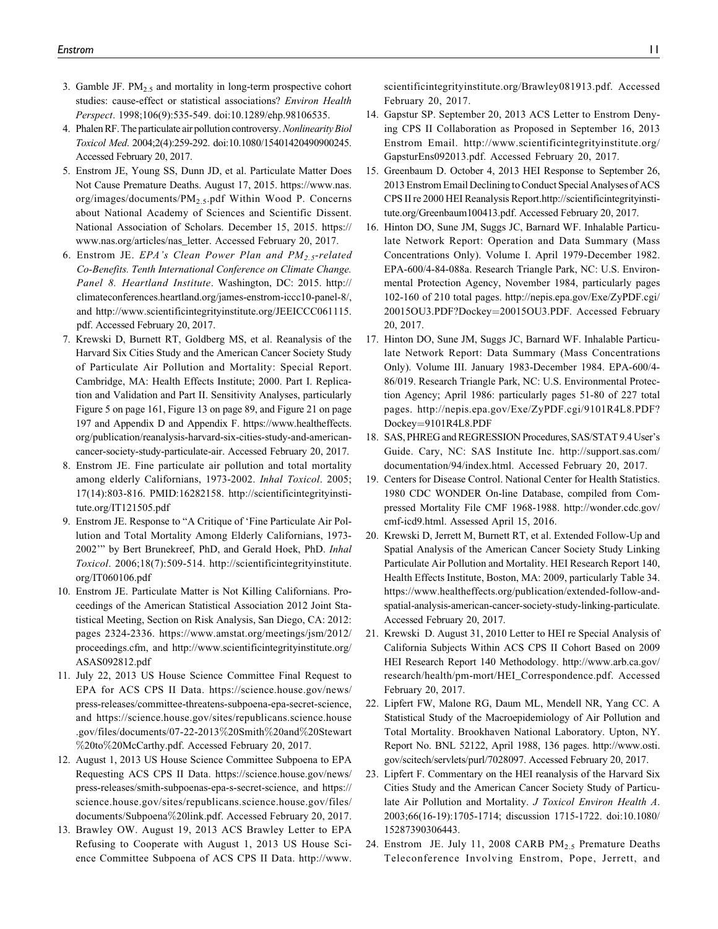- 3. Gamble JF.  $PM<sub>2.5</sub>$  and mortality in long-term prospective cohort studies: cause-effect or statistical associations? Environ Health Perspect. 1998;106(9):535-549. doi:10.1289/ehp.98106535.
- 4. Phalen RF. The particulate air pollution controversy. Nonlinearity Biol Toxicol Med. 2004;2(4):259-292. doi:10.1080/15401420490900245. Accessed February 20, 2017.
- 5. Enstrom JE, Young SS, Dunn JD, et al. Particulate Matter Does Not Cause Premature Deaths. August 17, 2015. [https://www.nas.](https://www.nas.org/images/documents/PM2.5.pdf) [org/images/documents/PM2.5.pdf](https://www.nas.org/images/documents/PM2.5.pdf) Within Wood P. Concerns about National Academy of Sciences and Scientific Dissent. National Association of Scholars. December 15, 2015. [https://](https://www.nas.org/articles/nas_letter) [www.nas.org/articles/nas\\_letter.](https://www.nas.org/articles/nas_letter) Accessed February 20, 2017.
- 6. Enstrom JE. EPA's Clean Power Plan and  $PM_{2.5}$ -related Co-Benefits. Tenth International Conference on Climate Change. Panel 8. Heartland Institute. Washington, DC: 2015. [http://](http://climateconferences.heartland.org/james-enstrom-iccc10-panel-8/) [climateconferences.heartland.org/james-enstrom-iccc10-panel-8/,](http://climateconferences.heartland.org/james-enstrom-iccc10-panel-8/) and [http://www.scientificintegrityinstitute.org/JEEICCC061115.](http://www.scientificintegrityinstitute.org/JEEICCC061115.pdf) [pdf](http://www.scientificintegrityinstitute.org/JEEICCC061115.pdf). Accessed February 20, 2017.
- 7. Krewski D, Burnett RT, Goldberg MS, et al. Reanalysis of the Harvard Six Cities Study and the American Cancer Society Study of Particulate Air Pollution and Mortality: Special Report. Cambridge, MA: Health Effects Institute; 2000. Part I. Replication and Validation and Part II. Sensitivity Analyses, particularly Figure 5 on page 161, Figure 13 on page 89, and Figure 21 on page 197 and Appendix D and Appendix F. [https://www.healtheffects.](https://www.healtheffects.org/publication/reanalysis-harvard-six-cities-study-and-american-cancer-society-study-particulate-air) [org/publication/reanalysis-harvard-six-cities-study-and-american](https://www.healtheffects.org/publication/reanalysis-harvard-six-cities-study-and-american-cancer-society-study-particulate-air)[cancer-society-study-particulate-air](https://www.healtheffects.org/publication/reanalysis-harvard-six-cities-study-and-american-cancer-society-study-particulate-air). Accessed February 20, 2017.
- 8. Enstrom JE. Fine particulate air pollution and total mortality among elderly Californians, 1973-2002. Inhal Toxicol. 2005; 17(14):803-816. PMID:[16282158.](http://www.ncbi.nlm.nih.gov/pubmed/16282158) [http://scientificintegrityinsti](http://scientificintegrityinstitute.org/IT121505.pdf)[tute.org/IT121505.pdf](http://scientificintegrityinstitute.org/IT121505.pdf)
- 9. Enstrom JE. Response to "A Critique of 'Fine Particulate Air Pollution and Total Mortality Among Elderly Californians, 1973- 2002'" by Bert Brunekreef, PhD, and Gerald Hoek, PhD. Inhal Toxicol. 2006;18(7):509-514. [http://scientificintegrityinstitute.](http://scientificintegrityinstitute.org/IT060106.pdf) [org/IT060106.pdf](http://scientificintegrityinstitute.org/IT060106.pdf)
- 10. Enstrom JE. Particulate Matter is Not Killing Californians. Proceedings of the American Statistical Association 2012 Joint Statistical Meeting, Section on Risk Analysis, San Diego, CA: 2012: pages 2324-2336. [https://www.amstat.org/meetings/jsm/2012/](https://www.amstat.org/meetings/jsm/2012/proceedings.cfm) [proceedings.cfm](https://www.amstat.org/meetings/jsm/2012/proceedings.cfm), and [http://www.scientificintegrityinstitute.org/](http://www.scientificintegrityinstitute.org/ASAS092812.pdf) [ASAS092812.pdf](http://www.scientificintegrityinstitute.org/ASAS092812.pdf)
- 11. July 22, 2013 US House Science Committee Final Request to EPA for ACS CPS II Data. [https://science.house.gov/news/](https://science.house.gov/news/press-releases/committee-threatens-subpoena-epa-secret-science) [press-releases/committee-threatens-subpoena-epa-secret-science,](https://science.house.gov/news/press-releases/committee-threatens-subpoena-epa-secret-science) and [https://science.house.gov/sites/republicans.science.house](https://science.house.gov/sites/republicans.science.house.gov/files/documents/07-22-2013%20Smith%20and%20Stewart%20to%20McCarthy.pdf) [.gov/files/documents/07-22-2013](https://science.house.gov/sites/republicans.science.house.gov/files/documents/07-22-2013%20Smith%20and%20Stewart%20to%20McCarthy.pdf)%[20Smith](https://science.house.gov/sites/republicans.science.house.gov/files/documents/07-22-2013%20Smith%20and%20Stewart%20to%20McCarthy.pdf)%[20and](https://science.house.gov/sites/republicans.science.house.gov/files/documents/07-22-2013%20Smith%20and%20Stewart%20to%20McCarthy.pdf)%[20Stewart](https://science.house.gov/sites/republicans.science.house.gov/files/documents/07-22-2013%20Smith%20and%20Stewart%20to%20McCarthy.pdf) %[20to](https://science.house.gov/sites/republicans.science.house.gov/files/documents/07-22-2013%20Smith%20and%20Stewart%20to%20McCarthy.pdf)%[20McCarthy.pdf](https://science.house.gov/sites/republicans.science.house.gov/files/documents/07-22-2013%20Smith%20and%20Stewart%20to%20McCarthy.pdf). Accessed February 20, 2017.
- 12. August 1, 2013 US House Science Committee Subpoena to EPA Requesting ACS CPS II Data. [https://science.house.gov/news/](https://science.house.gov/news/press-releases/smith-subpoenas-epa-s-secret-science) [press-releases/smith-subpoenas-epa-s-secret-science,](https://science.house.gov/news/press-releases/smith-subpoenas-epa-s-secret-science) and [https://](https://science.house.gov/sites/republicans.science.house.gov/files/documents/Subpoena%20link.pdf) [science.house.gov/sites/republicans.science.house.gov/files/](https://science.house.gov/sites/republicans.science.house.gov/files/documents/Subpoena%20link.pdf) [documents/Subpoena](https://science.house.gov/sites/republicans.science.house.gov/files/documents/Subpoena%20link.pdf)%[20link.pdf.](https://science.house.gov/sites/republicans.science.house.gov/files/documents/Subpoena%20link.pdf) Accessed February 20, 2017.
- 13. Brawley OW. August 19, 2013 ACS Brawley Letter to EPA Refusing to Cooperate with August 1, 2013 US House Science Committee Subpoena of ACS CPS II Data. [http://www.](http://www.scientificintegrityinstitute.org/Brawley081913.pdf)

[scientificintegrityinstitute.org/Brawley081913.pdf.](http://www.scientificintegrityinstitute.org/Brawley081913.pdf) Accessed February 20, 2017.

- 14. Gapstur SP. September 20, 2013 ACS Letter to Enstrom Denying CPS II Collaboration as Proposed in September 16, 2013 Enstrom Email. [http://www.scientificintegrityinstitute.org/](http://www.scientificintegrityinstitute.org/GapsturEns092013.pdf) [GapsturEns092013.pdf](http://www.scientificintegrityinstitute.org/GapsturEns092013.pdf). Accessed February 20, 2017.
- 15. Greenbaum D. October 4, 2013 HEI Response to September 26, 2013 Enstrom Email Declining to Conduct Special Analyses of ACS CPS II re 2000 HEI Reanalysis Report[.http://scientificintegrityinsti](http://scientificintegrityinstitute.org/Greenbaum100413.pdf)[tute.org/Greenbaum100413.pdf.](http://scientificintegrityinstitute.org/Greenbaum100413.pdf) Accessed February 20, 2017.
- 16. Hinton DO, Sune JM, Suggs JC, Barnard WF. Inhalable Particulate Network Report: Operation and Data Summary (Mass Concentrations Only). Volume I. April 1979-December 1982. EPA-600/4-84-088a. Research Triangle Park, NC: U.S. Environmental Protection Agency, November 1984, particularly pages 102-160 of 210 total pages. [http://nepis.epa.gov/Exe/ZyPDF.cgi/](http://nepis.epa.gov/Exe/ZyPDF.cgi/20015OU3.PDF?Dockey=20015OU3.PDF) [20015OU3.PDF?Dockey](http://nepis.epa.gov/Exe/ZyPDF.cgi/20015OU3.PDF?Dockey=20015OU3.PDF)=[20015OU3.PDF.](http://nepis.epa.gov/Exe/ZyPDF.cgi/20015OU3.PDF?Dockey=20015OU3.PDF) Accessed February 20, 2017.
- 17. Hinton DO, Sune JM, Suggs JC, Barnard WF. Inhalable Particulate Network Report: Data Summary (Mass Concentrations Only). Volume III. January 1983-December 1984. EPA-600/4- 86/019. Research Triangle Park, NC: U.S. Environmental Protection Agency; April 1986: particularly pages 51-80 of 227 total pages. [http://nepis.epa.gov/Exe/ZyPDF.cgi/9101R4L8.PDF?](http://nepis.epa.gov/Exe/ZyPDF.cgi/9101R4L8.PDF?Dockey=9101R4L8.PDF) [Dockey](http://nepis.epa.gov/Exe/ZyPDF.cgi/9101R4L8.PDF?Dockey=9101R4L8.PDF)=[9101R4L8.PDF](http://nepis.epa.gov/Exe/ZyPDF.cgi/9101R4L8.PDF?Dockey=9101R4L8.PDF)
- 18. SAS, PHREG and REGRESSION Procedures, SAS/STAT 9.4 User's Guide. Cary, NC: SAS Institute Inc. [http://support.sas.com/](http://support.sas.com/documentation/94/index.html) [documentation/94/index.html](http://support.sas.com/documentation/94/index.html). Accessed February 20, 2017.
- 19. Centers for Disease Control. National Center for Health Statistics. 1980 CDC WONDER On-line Database, compiled from Compressed Mortality File CMF 1968-1988. [http://wonder.cdc.gov/](http://wonder.cdc.gov/cmf-icd9.html) [cmf-icd9.html.](http://wonder.cdc.gov/cmf-icd9.html) Assessed April 15, 2016.
- 20. Krewski D, Jerrett M, Burnett RT, et al. Extended Follow-Up and Spatial Analysis of the American Cancer Society Study Linking Particulate Air Pollution and Mortality. HEI Research Report 140, Health Effects Institute, Boston, MA: 2009, particularly Table 34. [https://www.healtheffects.org/publication/extended-follow-and](https://www.healtheffects.org/publication/extended-follow-and-spatial-analysis-american-cancer-society-study-linking-particulate)[spatial-analysis-american-cancer-society-study-linking-particulate.](https://www.healtheffects.org/publication/extended-follow-and-spatial-analysis-american-cancer-society-study-linking-particulate) Accessed February 20, 2017.
- 21. Krewski D. August 31, 2010 Letter to HEI re Special Analysis of California Subjects Within ACS CPS II Cohort Based on 2009 HEI Research Report 140 Methodology. [http://www.arb.ca.gov/](http://www.arb.ca.gov/research/health/pm-mort/HEI_Correspondence.pdf) [research/health/pm-mort/HEI\\_Correspondence.pdf](http://www.arb.ca.gov/research/health/pm-mort/HEI_Correspondence.pdf). Accessed February 20, 2017.
- 22. Lipfert FW, Malone RG, Daum ML, Mendell NR, Yang CC. A Statistical Study of the Macroepidemiology of Air Pollution and Total Mortality. Brookhaven National Laboratory. Upton, NY. Report No. BNL 52122, April 1988, 136 pages. [http://www.osti.](http://www.osti.gov/scitech/servlets/purl/7028097) [gov/scitech/servlets/purl/7028097.](http://www.osti.gov/scitech/servlets/purl/7028097) Accessed February 20, 2017.
- 23. Lipfert F. Commentary on the HEI reanalysis of the Harvard Six Cities Study and the American Cancer Society Study of Particulate Air Pollution and Mortality. J Toxicol Environ Health A. 2003;66(16-19):1705-1714; discussion 1715-1722. doi:10.1080/ 15287390306443.
- 24. Enstrom JE. July 11, 2008 CARB PM<sub>2.5</sub> Premature Deaths Teleconference Involving Enstrom, Pope, Jerrett, and